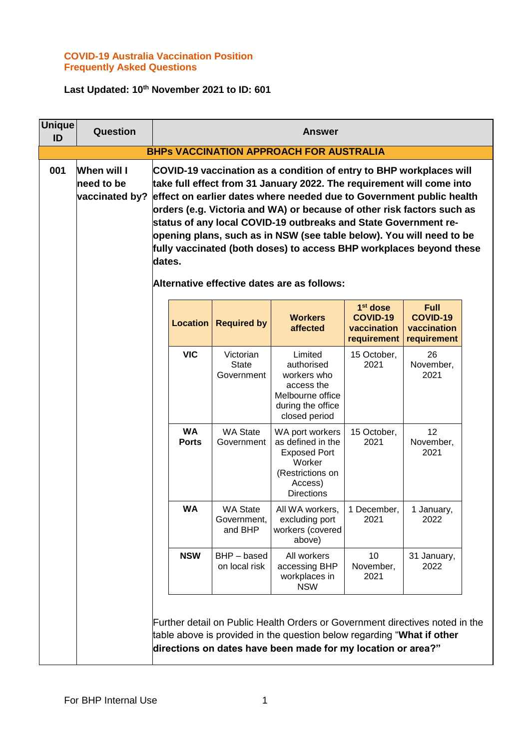## **COVID-19 Australia Vaccination Position Frequently Asked Questions**

## **Last Updated: 10th November 2021 to ID: 601**

| <b>Unique</b><br>ID | Question                                    |                           |                                           | <b>Answer</b>                                                                                                                                                                                                                                                                                                                                                                                                                                                                                                                                                   |                                                                       |                                                              |  |
|---------------------|---------------------------------------------|---------------------------|-------------------------------------------|-----------------------------------------------------------------------------------------------------------------------------------------------------------------------------------------------------------------------------------------------------------------------------------------------------------------------------------------------------------------------------------------------------------------------------------------------------------------------------------------------------------------------------------------------------------------|-----------------------------------------------------------------------|--------------------------------------------------------------|--|
|                     |                                             |                           |                                           | <b>BHPs VACCINATION APPROACH FOR AUSTRALIA</b>                                                                                                                                                                                                                                                                                                                                                                                                                                                                                                                  |                                                                       |                                                              |  |
| 001                 | When will I<br>need to be<br>vaccinated by? | dates.                    |                                           | COVID-19 vaccination as a condition of entry to BHP workplaces will<br>take full effect from 31 January 2022. The requirement will come into<br>effect on earlier dates where needed due to Government public health<br>orders (e.g. Victoria and WA) or because of other risk factors such as<br>status of any local COVID-19 outbreaks and State Government re-<br>opening plans, such as in NSW (see table below). You will need to be<br>fully vaccinated (both doses) to access BHP workplaces beyond these<br>Alternative effective dates are as follows: |                                                                       |                                                              |  |
|                     |                                             | <b>Location</b>           | <b>Required by</b>                        | <b>Workers</b><br>affected                                                                                                                                                                                                                                                                                                                                                                                                                                                                                                                                      | 1 <sup>st</sup> dose<br><b>COVID-19</b><br>vaccination<br>requirement | <b>Full</b><br><b>COVID-19</b><br>vaccination<br>requirement |  |
|                     |                                             | <b>VIC</b>                | Victorian<br><b>State</b><br>Government   | Limited<br>authorised<br>workers who<br>access the<br>Melbourne office<br>during the office<br>closed period                                                                                                                                                                                                                                                                                                                                                                                                                                                    | 15 October,<br>2021                                                   | 26<br>November,<br>2021                                      |  |
|                     |                                             | <b>WA</b><br><b>Ports</b> | <b>WA State</b><br>Government             | WA port workers<br>as defined in the<br><b>Exposed Port</b><br>Worker<br>(Restrictions on<br>Access)<br><b>Directions</b>                                                                                                                                                                                                                                                                                                                                                                                                                                       | 15 October,<br>2021                                                   | 12<br>November,<br>2021                                      |  |
|                     |                                             | <b>WA</b>                 | <b>WA State</b><br>Government,<br>and BHP | All WA workers,<br>excluding port<br>workers (covered<br>above)                                                                                                                                                                                                                                                                                                                                                                                                                                                                                                 | 1 December,<br>2021                                                   | 1 January,<br>2022                                           |  |
|                     |                                             | <b>NSW</b>                | BHP-based<br>on local risk                | All workers<br>accessing BHP<br>workplaces in<br><b>NSW</b>                                                                                                                                                                                                                                                                                                                                                                                                                                                                                                     | 10<br>November,<br>2021                                               | 31 January,<br>2022                                          |  |
|                     |                                             |                           |                                           | Further detail on Public Health Orders or Government directives noted in the<br>table above is provided in the question below regarding "What if other<br>directions on dates have been made for my location or area?"                                                                                                                                                                                                                                                                                                                                          |                                                                       |                                                              |  |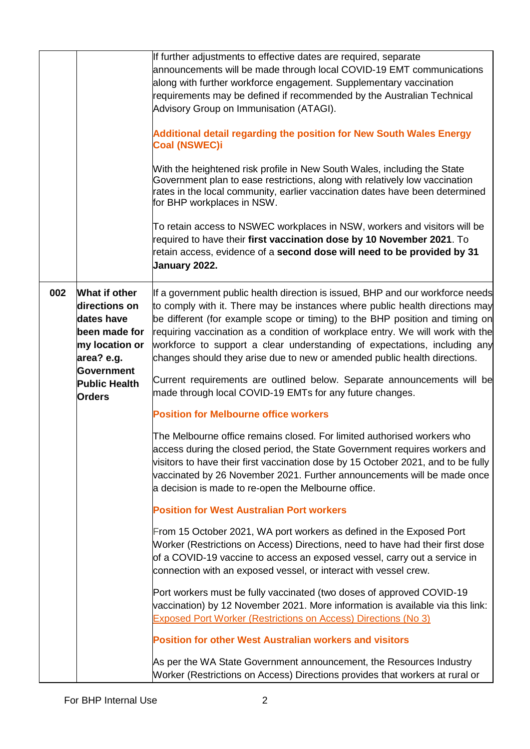|     |                                                                                               | If further adjustments to effective dates are required, separate<br>announcements will be made through local COVID-19 EMT communications<br>along with further workforce engagement. Supplementary vaccination<br>requirements may be defined if recommended by the Australian Technical<br>Advisory Group on Immunisation (ATAGI).<br><b>Additional detail regarding the position for New South Wales Energy</b><br><b>Coal (NSWEC)i</b><br>With the heightened risk profile in New South Wales, including the State<br>Government plan to ease restrictions, along with relatively low vaccination<br>rates in the local community, earlier vaccination dates have been determined<br>for BHP workplaces in NSW.<br>To retain access to NSWEC workplaces in NSW, workers and visitors will be<br>required to have their first vaccination dose by 10 November 2021. To<br>retain access, evidence of a second dose will need to be provided by 31<br>January 2022. |
|-----|-----------------------------------------------------------------------------------------------|----------------------------------------------------------------------------------------------------------------------------------------------------------------------------------------------------------------------------------------------------------------------------------------------------------------------------------------------------------------------------------------------------------------------------------------------------------------------------------------------------------------------------------------------------------------------------------------------------------------------------------------------------------------------------------------------------------------------------------------------------------------------------------------------------------------------------------------------------------------------------------------------------------------------------------------------------------------------|
| 002 | What if other<br>directions on<br>dates have<br>been made for<br>my location or<br>area? e.g. | If a government public health direction is issued, BHP and our workforce needs<br>to comply with it. There may be instances where public health directions may<br>be different (for example scope or timing) to the BHP position and timing on<br>requiring vaccination as a condition of workplace entry. We will work with the<br>workforce to support a clear understanding of expectations, including any<br>changes should they arise due to new or amended public health directions.                                                                                                                                                                                                                                                                                                                                                                                                                                                                           |
|     | Government<br><b>Public Health</b><br><b>Orders</b>                                           | Current requirements are outlined below. Separate announcements will be<br>made through local COVID-19 EMTs for any future changes.                                                                                                                                                                                                                                                                                                                                                                                                                                                                                                                                                                                                                                                                                                                                                                                                                                  |
|     |                                                                                               | <b>Position for Melbourne office workers</b>                                                                                                                                                                                                                                                                                                                                                                                                                                                                                                                                                                                                                                                                                                                                                                                                                                                                                                                         |
|     |                                                                                               | The Melbourne office remains closed. For limited authorised workers who<br>access during the closed period, the State Government requires workers and<br>visitors to have their first vaccination dose by 15 October 2021, and to be fully<br>vaccinated by 26 November 2021. Further announcements will be made once<br>a decision is made to re-open the Melbourne office.                                                                                                                                                                                                                                                                                                                                                                                                                                                                                                                                                                                         |
|     |                                                                                               | <b>Position for West Australian Port workers</b>                                                                                                                                                                                                                                                                                                                                                                                                                                                                                                                                                                                                                                                                                                                                                                                                                                                                                                                     |
|     |                                                                                               | From 15 October 2021, WA port workers as defined in the Exposed Port<br>Worker (Restrictions on Access) Directions, need to have had their first dose<br>of a COVID-19 vaccine to access an exposed vessel, carry out a service in<br>connection with an exposed vessel, or interact with vessel crew.                                                                                                                                                                                                                                                                                                                                                                                                                                                                                                                                                                                                                                                               |
|     |                                                                                               | Port workers must be fully vaccinated (two doses of approved COVID-19<br>vaccination) by 12 November 2021. More information is available via this link:<br>Exposed Port Worker (Restrictions on Access) Directions (No 3)                                                                                                                                                                                                                                                                                                                                                                                                                                                                                                                                                                                                                                                                                                                                            |
|     |                                                                                               | <b>Position for other West Australian workers and visitors</b>                                                                                                                                                                                                                                                                                                                                                                                                                                                                                                                                                                                                                                                                                                                                                                                                                                                                                                       |
|     |                                                                                               | As per the WA State Government announcement, the Resources Industry<br>Worker (Restrictions on Access) Directions provides that workers at rural or                                                                                                                                                                                                                                                                                                                                                                                                                                                                                                                                                                                                                                                                                                                                                                                                                  |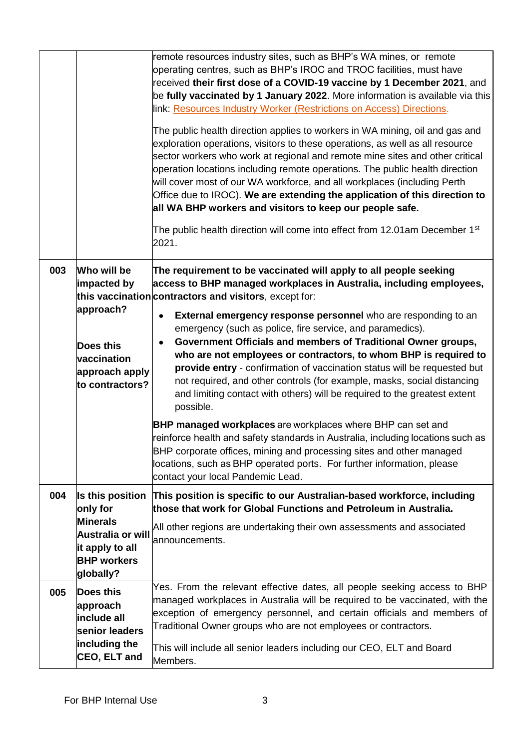|     |                                                                                                                            | remote resources industry sites, such as BHP's WA mines, or remote<br>operating centres, such as BHP's IROC and TROC facilities, must have<br>received their first dose of a COVID-19 vaccine by 1 December 2021, and<br>be fully vaccinated by 1 January 2022. More information is available via this<br>link: Resources Industry Worker (Restrictions on Access) Directions.<br>The public health direction applies to workers in WA mining, oil and gas and<br>exploration operations, visitors to these operations, as well as all resource<br>sector workers who work at regional and remote mine sites and other critical<br>operation locations including remote operations. The public health direction<br>will cover most of our WA workforce, and all workplaces (including Perth<br>Office due to IROC). We are extending the application of this direction to<br>all WA BHP workers and visitors to keep our people safe.<br>The public health direction will come into effect from 12.01am December 1 <sup>st</sup><br>2021.                               |
|-----|----------------------------------------------------------------------------------------------------------------------------|-------------------------------------------------------------------------------------------------------------------------------------------------------------------------------------------------------------------------------------------------------------------------------------------------------------------------------------------------------------------------------------------------------------------------------------------------------------------------------------------------------------------------------------------------------------------------------------------------------------------------------------------------------------------------------------------------------------------------------------------------------------------------------------------------------------------------------------------------------------------------------------------------------------------------------------------------------------------------------------------------------------------------------------------------------------------------|
| 003 | Who will be<br>impacted by<br>approach?<br>Does this<br>vaccination<br>approach apply<br>to contractors?                   | The requirement to be vaccinated will apply to all people seeking<br>access to BHP managed workplaces in Australia, including employees,<br>this vaccination contractors and visitors, except for:<br>External emergency response personnel who are responding to an<br>emergency (such as police, fire service, and paramedics).<br>Government Officials and members of Traditional Owner groups,<br>who are not employees or contractors, to whom BHP is required to<br>provide entry - confirmation of vaccination status will be requested but<br>not required, and other controls (for example, masks, social distancing<br>and limiting contact with others) will be required to the greatest extent<br>possible.<br><b>BHP managed workplaces</b> are workplaces where BHP can set and<br>reinforce health and safety standards in Australia, including locations such as<br>BHP corporate offices, mining and processing sites and other managed<br>locations, such as BHP operated ports. For further information, please<br>contact your local Pandemic Lead. |
| 004 | Is this position<br>only for<br><b>Minerals</b><br>Australia or will<br>it apply to all<br><b>BHP workers</b><br>globally? | This position is specific to our Australian-based workforce, including<br>those that work for Global Functions and Petroleum in Australia.<br>All other regions are undertaking their own assessments and associated<br>announcements.                                                                                                                                                                                                                                                                                                                                                                                                                                                                                                                                                                                                                                                                                                                                                                                                                                  |
| 005 | Does this<br>approach<br>include all<br>senior leaders<br>including the<br>CEO, ELT and                                    | Yes. From the relevant effective dates, all people seeking access to BHP<br>managed workplaces in Australia will be required to be vaccinated, with the<br>exception of emergency personnel, and certain officials and members of<br>Traditional Owner groups who are not employees or contractors.<br>This will include all senior leaders including our CEO, ELT and Board<br>Members.                                                                                                                                                                                                                                                                                                                                                                                                                                                                                                                                                                                                                                                                                |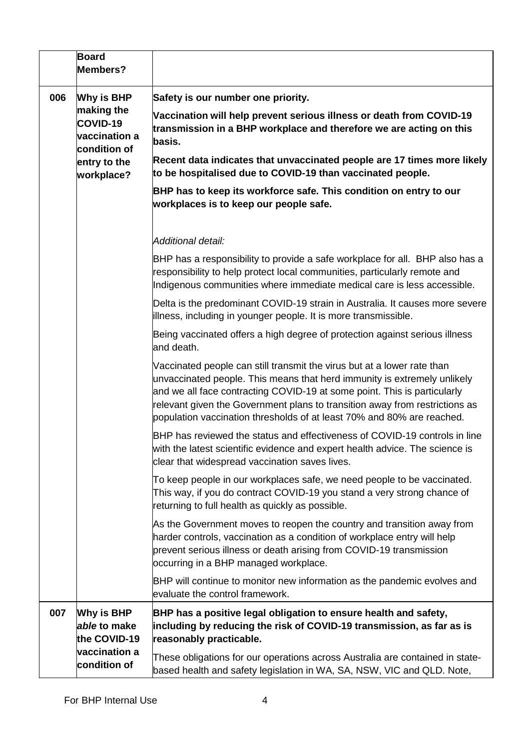|     | <b>Board</b><br>Members?                                                                            |                                                                                                                                                                                                                                                                                                                                                                                          |
|-----|-----------------------------------------------------------------------------------------------------|------------------------------------------------------------------------------------------------------------------------------------------------------------------------------------------------------------------------------------------------------------------------------------------------------------------------------------------------------------------------------------------|
| 006 | Why is BHP<br>making the<br>COVID-19<br>vaccination a<br>condition of<br>entry to the<br>workplace? | Safety is our number one priority.                                                                                                                                                                                                                                                                                                                                                       |
|     |                                                                                                     | Vaccination will help prevent serious illness or death from COVID-19<br>transmission in a BHP workplace and therefore we are acting on this<br>basis.                                                                                                                                                                                                                                    |
|     |                                                                                                     | Recent data indicates that unvaccinated people are 17 times more likely<br>to be hospitalised due to COVID-19 than vaccinated people.                                                                                                                                                                                                                                                    |
|     |                                                                                                     | BHP has to keep its workforce safe. This condition on entry to our<br>workplaces is to keep our people safe.                                                                                                                                                                                                                                                                             |
|     |                                                                                                     | Additional detail:                                                                                                                                                                                                                                                                                                                                                                       |
|     |                                                                                                     | BHP has a responsibility to provide a safe workplace for all. BHP also has a<br>responsibility to help protect local communities, particularly remote and<br>Indigenous communities where immediate medical care is less accessible.                                                                                                                                                     |
|     |                                                                                                     | Delta is the predominant COVID-19 strain in Australia. It causes more severe<br>illness, including in younger people. It is more transmissible.                                                                                                                                                                                                                                          |
|     |                                                                                                     | Being vaccinated offers a high degree of protection against serious illness<br>and death.                                                                                                                                                                                                                                                                                                |
|     |                                                                                                     | Vaccinated people can still transmit the virus but at a lower rate than<br>unvaccinated people. This means that herd immunity is extremely unlikely<br>and we all face contracting COVID-19 at some point. This is particularly<br>relevant given the Government plans to transition away from restrictions as<br>population vaccination thresholds of at least 70% and 80% are reached. |
|     |                                                                                                     | BHP has reviewed the status and effectiveness of COVID-19 controls in line<br>with the latest scientific evidence and expert health advice. The science is<br>clear that widespread vaccination saves lives.                                                                                                                                                                             |
|     |                                                                                                     | To keep people in our workplaces safe, we need people to be vaccinated.<br>This way, if you do contract COVID-19 you stand a very strong chance of<br>returning to full health as quickly as possible.                                                                                                                                                                                   |
|     |                                                                                                     | As the Government moves to reopen the country and transition away from<br>harder controls, vaccination as a condition of workplace entry will help<br>prevent serious illness or death arising from COVID-19 transmission<br>occurring in a BHP managed workplace.                                                                                                                       |
|     |                                                                                                     | BHP will continue to monitor new information as the pandemic evolves and<br>evaluate the control framework.                                                                                                                                                                                                                                                                              |
| 007 | Why is BHP<br>able to make<br>the COVID-19                                                          | BHP has a positive legal obligation to ensure health and safety,<br>including by reducing the risk of COVID-19 transmission, as far as is<br>reasonably practicable.                                                                                                                                                                                                                     |
|     | vaccination a<br>condition of                                                                       | These obligations for our operations across Australia are contained in state-<br>based health and safety legislation in WA, SA, NSW, VIC and QLD. Note,                                                                                                                                                                                                                                  |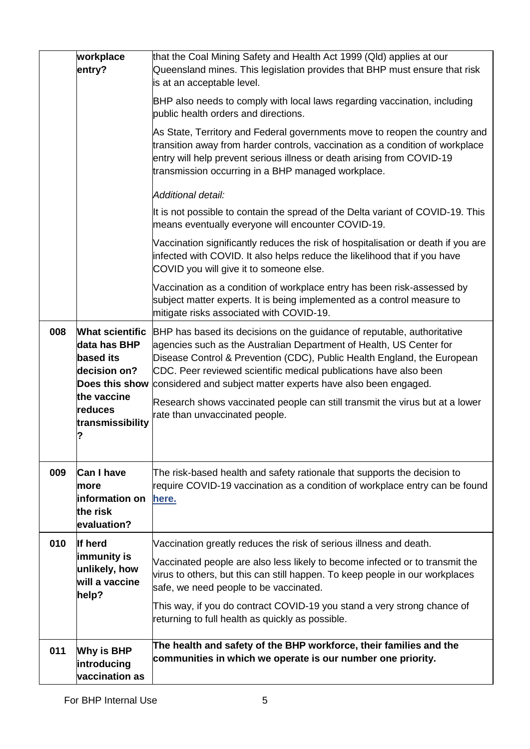|     | workplace<br>entry?                                                                   | that the Coal Mining Safety and Health Act 1999 (Qld) applies at our<br>Queensland mines. This legislation provides that BHP must ensure that risk<br>is at an acceptable level.                                                                                                                                                                                |
|-----|---------------------------------------------------------------------------------------|-----------------------------------------------------------------------------------------------------------------------------------------------------------------------------------------------------------------------------------------------------------------------------------------------------------------------------------------------------------------|
|     |                                                                                       | BHP also needs to comply with local laws regarding vaccination, including<br>public health orders and directions.                                                                                                                                                                                                                                               |
|     |                                                                                       | As State, Territory and Federal governments move to reopen the country and<br>transition away from harder controls, vaccination as a condition of workplace<br>entry will help prevent serious illness or death arising from COVID-19<br>transmission occurring in a BHP managed workplace.                                                                     |
|     |                                                                                       | Additional detail:                                                                                                                                                                                                                                                                                                                                              |
|     |                                                                                       | It is not possible to contain the spread of the Delta variant of COVID-19. This<br>means eventually everyone will encounter COVID-19.                                                                                                                                                                                                                           |
|     |                                                                                       | Vaccination significantly reduces the risk of hospitalisation or death if you are<br>infected with COVID. It also helps reduce the likelihood that if you have<br>COVID you will give it to someone else.                                                                                                                                                       |
|     |                                                                                       | Vaccination as a condition of workplace entry has been risk-assessed by<br>subject matter experts. It is being implemented as a control measure to<br>mitigate risks associated with COVID-19.                                                                                                                                                                  |
| 008 | <b>What scientific</b><br>data has BHP<br>based its<br>decision on?<br>Does this show | BHP has based its decisions on the guidance of reputable, authoritative<br>agencies such as the Australian Department of Health, US Center for<br>Disease Control & Prevention (CDC), Public Health England, the European<br>CDC. Peer reviewed scientific medical publications have also been<br>considered and subject matter experts have also been engaged. |
|     | the vaccine<br>reduces<br>transmissibility                                            | Research shows vaccinated people can still transmit the virus but at a lower<br>rate than unvaccinated people.                                                                                                                                                                                                                                                  |
| 009 | <b>Can I have</b><br>Imore<br>information on<br>the risk<br>evaluation?               | The risk-based health and safety rationale that supports the decision to<br>require COVID-19 vaccination as a condition of workplace entry can be found<br><u>here.</u>                                                                                                                                                                                         |
| 010 | If herd                                                                               | Vaccination greatly reduces the risk of serious illness and death.                                                                                                                                                                                                                                                                                              |
|     | immunity is<br>unlikely, how<br>will a vaccine<br>help?                               | Vaccinated people are also less likely to become infected or to transmit the<br>virus to others, but this can still happen. To keep people in our workplaces<br>safe, we need people to be vaccinated.                                                                                                                                                          |
|     |                                                                                       | This way, if you do contract COVID-19 you stand a very strong chance of<br>returning to full health as quickly as possible.                                                                                                                                                                                                                                     |
| 011 | Why is BHP<br>introducing<br>vaccination as                                           | The health and safety of the BHP workforce, their families and the<br>communities in which we operate is our number one priority.                                                                                                                                                                                                                               |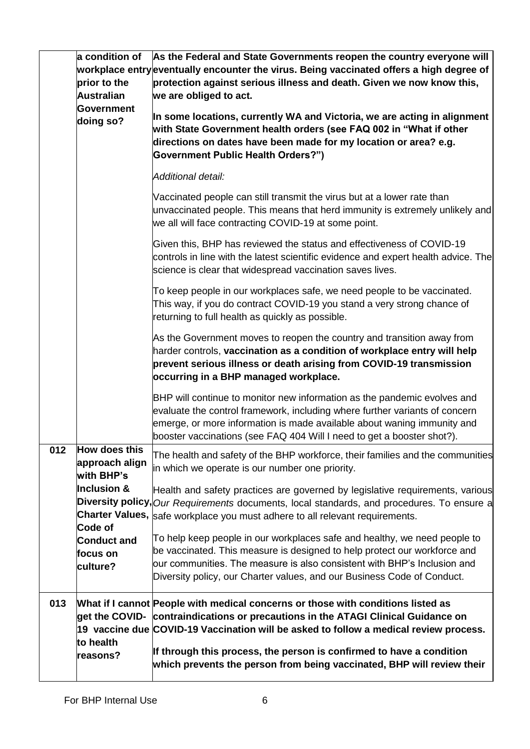|     | a condition of<br>prior to the<br><b>Australian</b><br>Government<br>doing so?                                                   | As the Federal and State Governments reopen the country everyone will<br>workplace entry eventually encounter the virus. Being vaccinated offers a high degree of<br>protection against serious illness and death. Given we now know this,<br>we are obliged to act.<br>In some locations, currently WA and Victoria, we are acting in alignment<br>with State Government health orders (see FAQ 002 in "What if other<br>directions on dates have been made for my location or area? e.g.<br><b>Government Public Health Orders?")</b><br>Additional detail:<br>Vaccinated people can still transmit the virus but at a lower rate than<br>unvaccinated people. This means that herd immunity is extremely unlikely and<br>we all will face contracting COVID-19 at some point.<br>Given this, BHP has reviewed the status and effectiveness of COVID-19<br>controls in line with the latest scientific evidence and expert health advice. The<br>science is clear that widespread vaccination saves lives.<br>To keep people in our workplaces safe, we need people to be vaccinated. |
|-----|----------------------------------------------------------------------------------------------------------------------------------|-----------------------------------------------------------------------------------------------------------------------------------------------------------------------------------------------------------------------------------------------------------------------------------------------------------------------------------------------------------------------------------------------------------------------------------------------------------------------------------------------------------------------------------------------------------------------------------------------------------------------------------------------------------------------------------------------------------------------------------------------------------------------------------------------------------------------------------------------------------------------------------------------------------------------------------------------------------------------------------------------------------------------------------------------------------------------------------------|
|     |                                                                                                                                  | This way, if you do contract COVID-19 you stand a very strong chance of<br>returning to full health as quickly as possible.<br>As the Government moves to reopen the country and transition away from<br>harder controls, vaccination as a condition of workplace entry will help<br>prevent serious illness or death arising from COVID-19 transmission<br>occurring in a BHP managed workplace.                                                                                                                                                                                                                                                                                                                                                                                                                                                                                                                                                                                                                                                                                       |
|     |                                                                                                                                  | BHP will continue to monitor new information as the pandemic evolves and<br>evaluate the control framework, including where further variants of concern<br>emerge, or more information is made available about waning immunity and<br>booster vaccinations (see FAQ 404 Will I need to get a booster shot?).                                                                                                                                                                                                                                                                                                                                                                                                                                                                                                                                                                                                                                                                                                                                                                            |
| 012 | How does this<br>approach align<br>with BHP's<br><b>Inclusion &amp;</b><br>Code of<br><b>Conduct and</b><br>focus on<br>culture? | The health and safety of the BHP workforce, their families and the communities<br>in which we operate is our number one priority.<br>Health and safety practices are governed by legislative requirements, various<br>Diversity policy, Our Requirements documents, local standards, and procedures. To ensure a<br>Charter Values, safe workplace you must adhere to all relevant requirements.<br>To help keep people in our workplaces safe and healthy, we need people to<br>be vaccinated. This measure is designed to help protect our workforce and<br>our communities. The measure is also consistent with BHP's Inclusion and<br>Diversity policy, our Charter values, and our Business Code of Conduct.                                                                                                                                                                                                                                                                                                                                                                       |
| 013 | to health<br>reasons?                                                                                                            | What if I cannot People with medical concerns or those with conditions listed as<br>get the COVID- contraindications or precautions in the ATAGI Clinical Guidance on<br>19 vaccine due COVID-19 Vaccination will be asked to follow a medical review process.<br>If through this process, the person is confirmed to have a condition<br>which prevents the person from being vaccinated, BHP will review their                                                                                                                                                                                                                                                                                                                                                                                                                                                                                                                                                                                                                                                                        |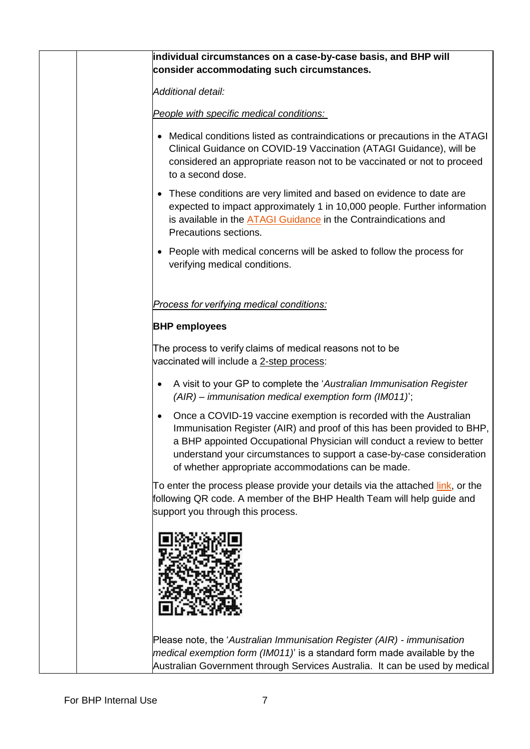| individual circumstances on a case-by-case basis, and BHP will                                                                                                                                                                                                                                                                                                     |
|--------------------------------------------------------------------------------------------------------------------------------------------------------------------------------------------------------------------------------------------------------------------------------------------------------------------------------------------------------------------|
| consider accommodating such circumstances.                                                                                                                                                                                                                                                                                                                         |
| Additional detail:                                                                                                                                                                                                                                                                                                                                                 |
| People with specific medical conditions:                                                                                                                                                                                                                                                                                                                           |
| • Medical conditions listed as contraindications or precautions in the ATAGI<br>Clinical Guidance on COVID-19 Vaccination (ATAGI Guidance), will be<br>considered an appropriate reason not to be vaccinated or not to proceed<br>to a second dose.                                                                                                                |
| • These conditions are very limited and based on evidence to date are<br>expected to impact approximately 1 in 10,000 people. Further information<br>is available in the <b>ATAGI Guidance</b> in the Contraindications and<br>Precautions sections.                                                                                                               |
| • People with medical concerns will be asked to follow the process for<br>verifying medical conditions.                                                                                                                                                                                                                                                            |
| Process for verifying medical conditions:                                                                                                                                                                                                                                                                                                                          |
| <b>BHP employees</b>                                                                                                                                                                                                                                                                                                                                               |
| The process to verify claims of medical reasons not to be<br>vaccinated will include a 2-step process:                                                                                                                                                                                                                                                             |
| A visit to your GP to complete the 'Australian Immunisation Register<br>$\bullet$<br>$(AIR)$ – immunisation medical exemption form (IM011)';                                                                                                                                                                                                                       |
| Once a COVID-19 vaccine exemption is recorded with the Australian<br>$\bullet$<br>Immunisation Register (AIR) and proof of this has been provided to BHP,<br>a BHP appointed Occupational Physician will conduct a review to better<br>understand your circumstances to support a case-by-case consideration<br>of whether appropriate accommodations can be made. |
| To enter the process please provide your details via the attached link, or the<br>following QR code. A member of the BHP Health Team will help guide and<br>support you through this process.                                                                                                                                                                      |
|                                                                                                                                                                                                                                                                                                                                                                    |
| Please note, the 'Australian Immunisation Register (AIR) - immunisation<br>medical exemption form (IM011)' is a standard form made available by the<br>Australian Government through Services Australia. It can be used by medical                                                                                                                                 |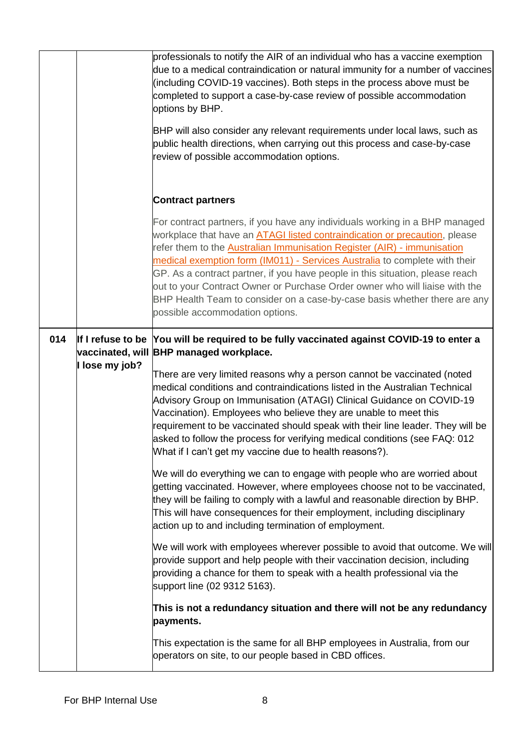|     |              | professionals to notify the AIR of an individual who has a vaccine exemption<br>due to a medical contraindication or natural immunity for a number of vaccines<br>(including COVID-19 vaccines). Both steps in the process above must be<br>completed to support a case-by-case review of possible accommodation<br>options by BHP.<br>BHP will also consider any relevant requirements under local laws, such as<br>public health directions, when carrying out this process and case-by-case<br>review of possible accommodation options.                                                                       |
|-----|--------------|-------------------------------------------------------------------------------------------------------------------------------------------------------------------------------------------------------------------------------------------------------------------------------------------------------------------------------------------------------------------------------------------------------------------------------------------------------------------------------------------------------------------------------------------------------------------------------------------------------------------|
|     |              | <b>Contract partners</b>                                                                                                                                                                                                                                                                                                                                                                                                                                                                                                                                                                                          |
|     |              | For contract partners, if you have any individuals working in a BHP managed<br>workplace that have an <b>ATAGI listed contraindication or precaution</b> , please<br>refer them to the <b>Australian Immunisation Register (AIR)</b> - immunisation<br>medical exemption form (IM011) - Services Australia to complete with their<br>GP. As a contract partner, if you have people in this situation, please reach<br>out to your Contract Owner or Purchase Order owner who will liaise with the<br>BHP Health Team to consider on a case-by-case basis whether there are any<br>possible accommodation options. |
| 014 | lose my job? | If I refuse to be You will be required to be fully vaccinated against COVID-19 to enter a<br>vaccinated, will BHP managed workplace.<br>There are very limited reasons why a person cannot be vaccinated (noted<br>medical conditions and contraindications listed in the Australian Technical                                                                                                                                                                                                                                                                                                                    |
|     |              | Advisory Group on Immunisation (ATAGI) Clinical Guidance on COVID-19<br>Vaccination). Employees who believe they are unable to meet this<br>requirement to be vaccinated should speak with their line leader. They will be<br>asked to follow the process for verifying medical conditions (see FAQ: 012<br>What if I can't get my vaccine due to health reasons?).                                                                                                                                                                                                                                               |
|     |              | We will do everything we can to engage with people who are worried about<br>getting vaccinated. However, where employees choose not to be vaccinated,<br>they will be failing to comply with a lawful and reasonable direction by BHP.<br>This will have consequences for their employment, including disciplinary<br>action up to and including termination of employment.                                                                                                                                                                                                                                       |
|     |              | We will work with employees wherever possible to avoid that outcome. We will<br>provide support and help people with their vaccination decision, including<br>providing a chance for them to speak with a health professional via the<br>support line (02 9312 5163).                                                                                                                                                                                                                                                                                                                                             |
|     |              | This is not a redundancy situation and there will not be any redundancy<br>payments.                                                                                                                                                                                                                                                                                                                                                                                                                                                                                                                              |
|     |              | This expectation is the same for all BHP employees in Australia, from our<br>operators on site, to our people based in CBD offices.                                                                                                                                                                                                                                                                                                                                                                                                                                                                               |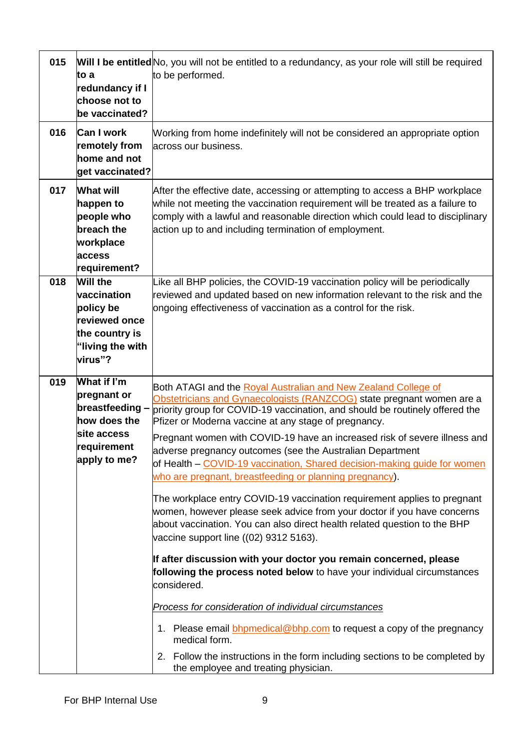| 015 | to a<br>redundancy if I<br>choose not to<br>be vaccinated?                                                    | Will I be entitled No, you will not be entitled to a redundancy, as your role will still be required<br>to be performed.                                                                                                                                                                                                                                                                                                                                                                                                                                                                                                                                                                                                                                                                                                                                                                                                                                                                                                                                                                                                                                                                                                                                                                        |
|-----|---------------------------------------------------------------------------------------------------------------|-------------------------------------------------------------------------------------------------------------------------------------------------------------------------------------------------------------------------------------------------------------------------------------------------------------------------------------------------------------------------------------------------------------------------------------------------------------------------------------------------------------------------------------------------------------------------------------------------------------------------------------------------------------------------------------------------------------------------------------------------------------------------------------------------------------------------------------------------------------------------------------------------------------------------------------------------------------------------------------------------------------------------------------------------------------------------------------------------------------------------------------------------------------------------------------------------------------------------------------------------------------------------------------------------|
| 016 | <b>Can I work</b><br>remotely from<br>home and not<br>get vaccinated?                                         | Working from home indefinitely will not be considered an appropriate option<br>across our business.                                                                                                                                                                                                                                                                                                                                                                                                                                                                                                                                                                                                                                                                                                                                                                                                                                                                                                                                                                                                                                                                                                                                                                                             |
| 017 | <b>What will</b><br>happen to<br>people who<br>breach the<br>workplace<br>access<br>requirement?              | After the effective date, accessing or attempting to access a BHP workplace<br>while not meeting the vaccination requirement will be treated as a failure to<br>comply with a lawful and reasonable direction which could lead to disciplinary<br>action up to and including termination of employment.                                                                                                                                                                                                                                                                                                                                                                                                                                                                                                                                                                                                                                                                                                                                                                                                                                                                                                                                                                                         |
| 018 | <b>Will the</b><br>vaccination<br>policy be<br>reviewed once<br>the country is<br>"living the with<br>virus"? | Like all BHP policies, the COVID-19 vaccination policy will be periodically<br>reviewed and updated based on new information relevant to the risk and the<br>ongoing effectiveness of vaccination as a control for the risk.                                                                                                                                                                                                                                                                                                                                                                                                                                                                                                                                                                                                                                                                                                                                                                                                                                                                                                                                                                                                                                                                    |
| 019 | What if I'm<br>pregnant or<br>breastfeeding -<br>how does the<br>lsite access<br>requirement<br>apply to me?  | Both ATAGI and the Royal Australian and New Zealand College of<br>Obstetricians and Gynaecologists (RANZCOG) state pregnant women are a<br>priority group for COVID-19 vaccination, and should be routinely offered the<br>Pfizer or Moderna vaccine at any stage of pregnancy.<br>Pregnant women with COVID-19 have an increased risk of severe illness and<br>adverse pregnancy outcomes (see the Australian Department<br>of Health - COVID-19 vaccination, Shared decision-making guide for women<br>who are pregnant, breastfeeding or planning pregnancy).<br>The workplace entry COVID-19 vaccination requirement applies to pregnant<br>women, however please seek advice from your doctor if you have concerns<br>about vaccination. You can also direct health related question to the BHP<br>vaccine support line ((02) 9312 5163).<br>If after discussion with your doctor you remain concerned, please<br>following the process noted below to have your individual circumstances<br>considered.<br>Process for consideration of individual circumstances<br>1. Please email <b>bhpmedical@bhp.com</b> to request a copy of the pregnancy<br>medical form.<br>2. Follow the instructions in the form including sections to be completed by<br>the employee and treating physician. |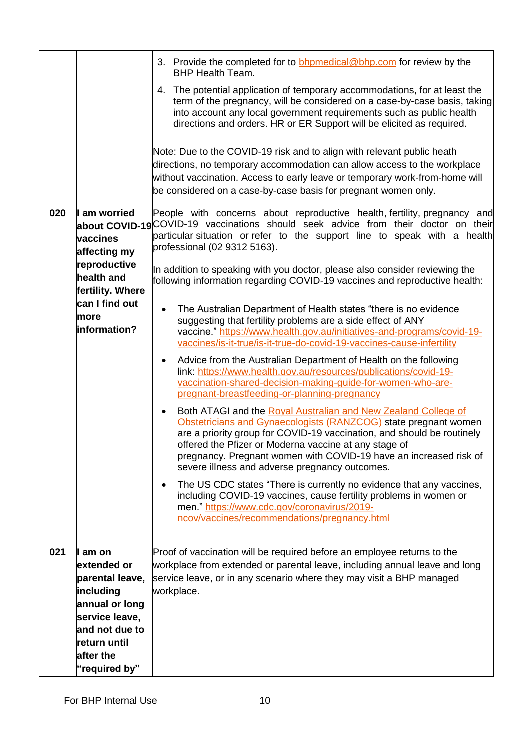|     |                                                | 3. Provide the completed for to <b>bhomedical@bhp.com</b> for review by the<br><b>BHP Health Team.</b><br>The potential application of temporary accommodations, for at least the<br>4.                                                                                                                                                                                                                  |
|-----|------------------------------------------------|----------------------------------------------------------------------------------------------------------------------------------------------------------------------------------------------------------------------------------------------------------------------------------------------------------------------------------------------------------------------------------------------------------|
|     |                                                | term of the pregnancy, will be considered on a case-by-case basis, taking<br>into account any local government requirements such as public health<br>directions and orders. HR or ER Support will be elicited as required.                                                                                                                                                                               |
|     |                                                | Note: Due to the COVID-19 risk and to align with relevant public heath<br>directions, no temporary accommodation can allow access to the workplace                                                                                                                                                                                                                                                       |
|     |                                                | without vaccination. Access to early leave or temporary work-from-home will                                                                                                                                                                                                                                                                                                                              |
|     |                                                | be considered on a case-by-case basis for pregnant women only.                                                                                                                                                                                                                                                                                                                                           |
| 020 | I am worried                                   | People with concerns about reproductive health, fertility, pregnancy and<br>about COVID-19 COVID-19 vaccinations should seek advice from their doctor on their                                                                                                                                                                                                                                           |
|     | vaccines<br>affecting my                       | particular situation or refer to the support line to speak with a health<br>professional (02 9312 5163).                                                                                                                                                                                                                                                                                                 |
|     | reproductive<br>health and<br>fertility. Where | In addition to speaking with you doctor, please also consider reviewing the<br>following information regarding COVID-19 vaccines and reproductive health:                                                                                                                                                                                                                                                |
|     | can I find out<br>more<br>information?         | The Australian Department of Health states "there is no evidence<br>$\bullet$<br>suggesting that fertility problems are a side effect of ANY<br>vaccine." https://www.health.gov.au/initiatives-and-programs/covid-19-<br>vaccines/is-it-true/is-it-true-do-covid-19-vaccines-cause-infertility                                                                                                          |
|     |                                                | Advice from the Australian Department of Health on the following<br>٠<br>link: https://www.health.gov.au/resources/publications/covid-19-<br>vaccination-shared-decision-making-guide-for-women-who-are-<br>pregnant-breastfeeding-or-planning-pregnancy                                                                                                                                                 |
|     |                                                | Both ATAGI and the Royal Australian and New Zealand College of<br>$\bullet$<br>Obstetricians and Gynaecologists (RANZCOG) state pregnant women<br>are a priority group for COVID-19 vaccination, and should be routinely<br>offered the Pfizer or Moderna vaccine at any stage of<br>pregnancy. Pregnant women with COVID-19 have an increased risk of<br>severe illness and adverse pregnancy outcomes. |
|     |                                                | The US CDC states "There is currently no evidence that any vaccines,<br>$\bullet$<br>including COVID-19 vaccines, cause fertility problems in women or<br>men." https://www.cdc.gov/coronavirus/2019-<br>ncov/vaccines/recommendations/pregnancy.html                                                                                                                                                    |
| 021 | am on                                          | Proof of vaccination will be required before an employee returns to the                                                                                                                                                                                                                                                                                                                                  |
|     | extended or<br>parental leave,                 | workplace from extended or parental leave, including annual leave and long<br>service leave, or in any scenario where they may visit a BHP managed                                                                                                                                                                                                                                                       |
|     | including                                      | workplace.                                                                                                                                                                                                                                                                                                                                                                                               |
|     | annual or long                                 |                                                                                                                                                                                                                                                                                                                                                                                                          |
|     | service leave,                                 |                                                                                                                                                                                                                                                                                                                                                                                                          |
|     | and not due to<br>return until                 |                                                                                                                                                                                                                                                                                                                                                                                                          |
|     | after the                                      |                                                                                                                                                                                                                                                                                                                                                                                                          |
|     | "required by"                                  |                                                                                                                                                                                                                                                                                                                                                                                                          |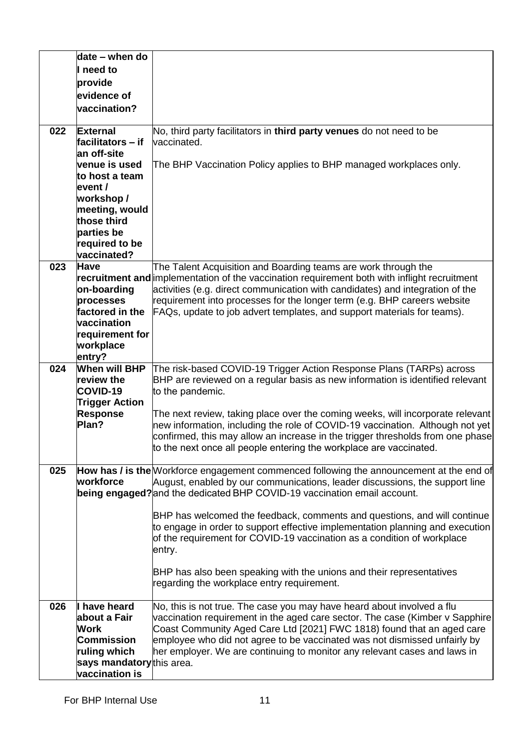|     | date - when do                     |                                                                                                                                                        |
|-----|------------------------------------|--------------------------------------------------------------------------------------------------------------------------------------------------------|
|     | I need to                          |                                                                                                                                                        |
|     | provide                            |                                                                                                                                                        |
|     | evidence of                        |                                                                                                                                                        |
|     | vaccination?                       |                                                                                                                                                        |
|     |                                    |                                                                                                                                                        |
| 022 | <b>External</b>                    | No, third party facilitators in third party venues do not need to be                                                                                   |
|     | facilitators – if                  | vaccinated.                                                                                                                                            |
|     | an off-site                        |                                                                                                                                                        |
|     | venue is used                      | The BHP Vaccination Policy applies to BHP managed workplaces only.                                                                                     |
|     | to host a team                     |                                                                                                                                                        |
|     | event /                            |                                                                                                                                                        |
|     | workshop /                         |                                                                                                                                                        |
|     | meeting, would                     |                                                                                                                                                        |
|     | those third                        |                                                                                                                                                        |
|     | parties be                         |                                                                                                                                                        |
|     | required to be                     |                                                                                                                                                        |
|     | vaccinated?                        |                                                                                                                                                        |
| 023 | <b>Have</b>                        | The Talent Acquisition and Boarding teams are work through the                                                                                         |
|     |                                    | recruitment and implementation of the vaccination requirement both with inflight recruitment                                                           |
|     | on-boarding                        | activities (e.g. direct communication with candidates) and integration of the                                                                          |
|     | processes                          | requirement into processes for the longer term (e.g. BHP careers website                                                                               |
|     | factored in the                    | FAQs, update to job advert templates, and support materials for teams).                                                                                |
|     | vaccination                        |                                                                                                                                                        |
|     | requirement for                    |                                                                                                                                                        |
|     | workplace                          |                                                                                                                                                        |
|     | entry?                             |                                                                                                                                                        |
| 024 | <b>When will BHP</b><br>review the | The risk-based COVID-19 Trigger Action Response Plans (TARPs) across                                                                                   |
|     | COVID-19                           | BHP are reviewed on a regular basis as new information is identified relevant<br>to the pandemic.                                                      |
|     | <b>Trigger Action</b>              |                                                                                                                                                        |
|     | <b>Response</b>                    | The next review, taking place over the coming weeks, will incorporate relevant                                                                         |
|     | Plan?                              | new information, including the role of COVID-19 vaccination. Although not yet                                                                          |
|     |                                    | confirmed, this may allow an increase in the trigger thresholds from one phase                                                                         |
|     |                                    | to the next once all people entering the workplace are vaccinated.                                                                                     |
|     |                                    |                                                                                                                                                        |
| 025 |                                    | How has / is the Workforce engagement commenced following the announcement at the end of                                                               |
|     | workforce                          | August, enabled by our communications, leader discussions, the support line                                                                            |
|     |                                    | being engaged? and the dedicated BHP COVID-19 vaccination email account.                                                                               |
|     |                                    |                                                                                                                                                        |
|     |                                    | BHP has welcomed the feedback, comments and questions, and will continue                                                                               |
|     |                                    | to engage in order to support effective implementation planning and execution                                                                          |
|     |                                    | of the requirement for COVID-19 vaccination as a condition of workplace                                                                                |
|     |                                    | entry.                                                                                                                                                 |
|     |                                    |                                                                                                                                                        |
|     |                                    | BHP has also been speaking with the unions and their representatives                                                                                   |
|     |                                    | regarding the workplace entry requirement.                                                                                                             |
| 026 | have heard                         |                                                                                                                                                        |
|     | about a Fair                       | No, this is not true. The case you may have heard about involved a flu<br>vaccination requirement in the aged care sector. The case (Kimber v Sapphire |
|     | Work                               | Coast Community Aged Care Ltd [2021] FWC 1818) found that an aged care                                                                                 |
|     | <b>Commission</b>                  | employee who did not agree to be vaccinated was not dismissed unfairly by                                                                              |
|     | ruling which                       | her employer. We are continuing to monitor any relevant cases and laws in                                                                              |
|     | says mandatorythis area.           |                                                                                                                                                        |
|     | vaccination is                     |                                                                                                                                                        |
|     |                                    |                                                                                                                                                        |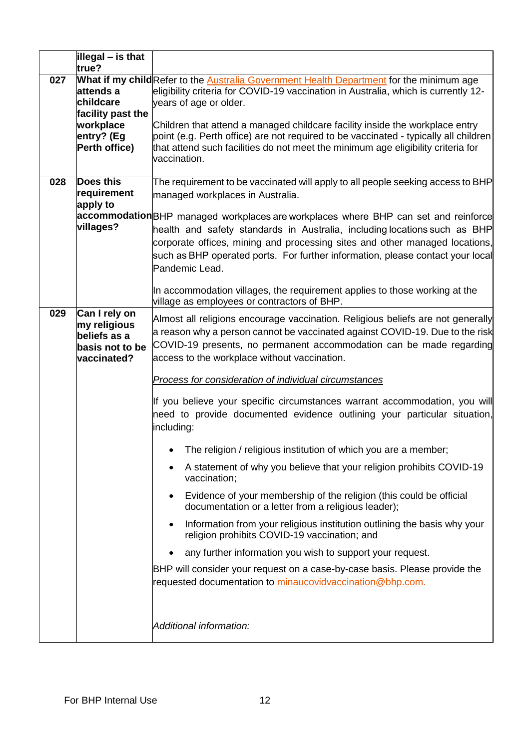|     | illegal – is that<br>true?                                                              |                                                                                                                                                                                                                                                                                                                                                                                                                                                                                                                                                                                                                                                                                                                                                                                                                                                                                                                                                                                                                                                                                                                                                                                   |
|-----|-----------------------------------------------------------------------------------------|-----------------------------------------------------------------------------------------------------------------------------------------------------------------------------------------------------------------------------------------------------------------------------------------------------------------------------------------------------------------------------------------------------------------------------------------------------------------------------------------------------------------------------------------------------------------------------------------------------------------------------------------------------------------------------------------------------------------------------------------------------------------------------------------------------------------------------------------------------------------------------------------------------------------------------------------------------------------------------------------------------------------------------------------------------------------------------------------------------------------------------------------------------------------------------------|
| 027 | attends a<br>childcare<br>facility past the<br>workplace<br>entry? (Eg<br>Perth office) | What if my child Refer to the Australia Government Health Department for the minimum age<br>eligibility criteria for COVID-19 vaccination in Australia, which is currently 12-<br>years of age or older.<br>Children that attend a managed childcare facility inside the workplace entry<br>point (e.g. Perth office) are not required to be vaccinated - typically all children<br>that attend such facilities do not meet the minimum age eligibility criteria for<br>vaccination.                                                                                                                                                                                                                                                                                                                                                                                                                                                                                                                                                                                                                                                                                              |
| 028 | <b>Does this</b><br>requirement<br>apply to<br>villages?                                | The requirement to be vaccinated will apply to all people seeking access to BHP<br>managed workplaces in Australia.<br>accommodation BHP managed workplaces are workplaces where BHP can set and reinforce<br>health and safety standards in Australia, including locations such as BHP<br>corporate offices, mining and processing sites and other managed locations,<br>such as BHP operated ports. For further information, please contact your local<br>Pandemic Lead.<br>In accommodation villages, the requirement applies to those working at the<br>village as employees or contractors of BHP.                                                                                                                                                                                                                                                                                                                                                                                                                                                                                                                                                                           |
| 029 | Can I rely on<br>my religious<br>beliefs as a<br>basis not to be<br>vaccinated?         | Almost all religions encourage vaccination. Religious beliefs are not generally<br>a reason why a person cannot be vaccinated against COVID-19. Due to the risk<br>COVID-19 presents, no permanent accommodation can be made regarding<br>access to the workplace without vaccination.<br>Process for consideration of individual circumstances<br>If you believe your specific circumstances warrant accommodation, you will<br>need to provide documented evidence outlining your particular situation,<br>including:<br>• The religion / religious institution of which you are a member;<br>A statement of why you believe that your religion prohibits COVID-19<br>vaccination;<br>Evidence of your membership of the religion (this could be official<br>documentation or a letter from a religious leader);<br>Information from your religious institution outlining the basis why your<br>religion prohibits COVID-19 vaccination; and<br>any further information you wish to support your request.<br>BHP will consider your request on a case-by-case basis. Please provide the<br>requested documentation to minaucovidvaccination@bhp.com.<br>Additional information: |
|     |                                                                                         |                                                                                                                                                                                                                                                                                                                                                                                                                                                                                                                                                                                                                                                                                                                                                                                                                                                                                                                                                                                                                                                                                                                                                                                   |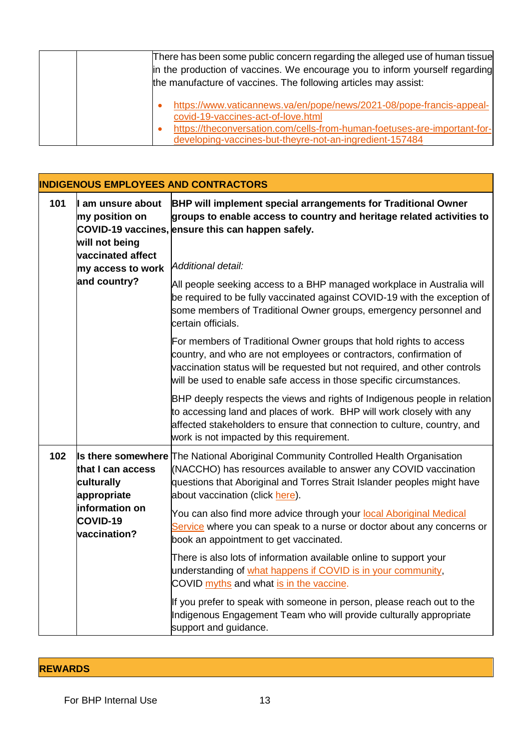| There has been some public concern regarding the alleged use of human tissue<br>in the production of vaccines. We encourage you to inform yourself regarding<br>the manufacture of vaccines. The following articles may assist: |
|---------------------------------------------------------------------------------------------------------------------------------------------------------------------------------------------------------------------------------|
| https://www.vaticannews.va/en/pope/news/2021-08/pope-francis-appeal-<br>covid-19-vaccines-act-of-love.html                                                                                                                      |
| https://theconversation.com/cells-from-human-foetuses-are-important-for-<br>developing-vaccines-but-theyre-not-an-ingredient-157484                                                                                             |

|     |                                                                                                 | <b>INDIGENOUS EMPLOYEES AND CONTRACTORS</b>                                                                                                                                                                                                                                                  |
|-----|-------------------------------------------------------------------------------------------------|----------------------------------------------------------------------------------------------------------------------------------------------------------------------------------------------------------------------------------------------------------------------------------------------|
| 101 | I am unsure about<br>my position on<br>will not being<br>vaccinated affect<br>my access to work | <b>BHP will implement special arrangements for Traditional Owner</b><br>groups to enable access to country and heritage related activities to<br>COVID-19 vaccines, ensure this can happen safely.<br>Additional detail:                                                                     |
|     | and country?                                                                                    | All people seeking access to a BHP managed workplace in Australia will<br>be required to be fully vaccinated against COVID-19 with the exception of<br>some members of Traditional Owner groups, emergency personnel and<br>certain officials.                                               |
|     |                                                                                                 | For members of Traditional Owner groups that hold rights to access<br>country, and who are not employees or contractors, confirmation of<br>vaccination status will be requested but not required, and other controls<br>will be used to enable safe access in those specific circumstances. |
|     |                                                                                                 | BHP deeply respects the views and rights of Indigenous people in relation<br>to accessing land and places of work. BHP will work closely with any<br>affected stakeholders to ensure that connection to culture, country, and<br>work is not impacted by this requirement.                   |
| 102 | that I can access<br>culturally<br>appropriate                                                  | <b>Is there somewhere</b> The National Aboriginal Community Controlled Health Organisation<br>(NACCHO) has resources available to answer any COVID vaccination<br>questions that Aboriginal and Torres Strait Islander peoples might have<br>about vaccination (click here).                 |
|     | information on<br><b>COVID-19</b><br>vaccination?                                               | You can also find more advice through your local Aboriginal Medical<br>Service where you can speak to a nurse or doctor about any concerns or<br>book an appointment to get vaccinated.                                                                                                      |
|     |                                                                                                 | There is also lots of information available online to support your<br>understanding of what happens if COVID is in your community,<br>COVID myths and what is in the vaccine.                                                                                                                |
|     |                                                                                                 | If you prefer to speak with someone in person, please reach out to the<br>Indigenous Engagement Team who will provide culturally appropriate<br>support and guidance.                                                                                                                        |

## **REWARDS**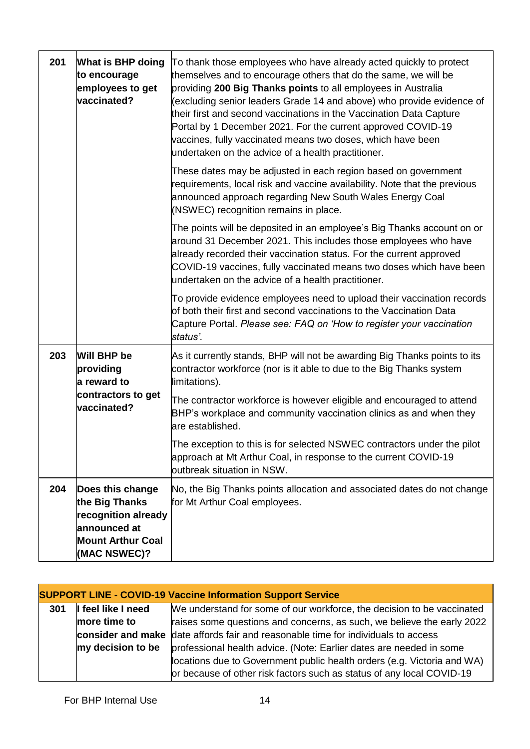| 201 | What is BHP doing<br>to encourage<br>employees to get<br>vaccinated?                                                  | To thank those employees who have already acted quickly to protect<br>themselves and to encourage others that do the same, we will be<br>providing 200 Big Thanks points to all employees in Australia<br>(excluding senior leaders Grade 14 and above) who provide evidence of<br>their first and second vaccinations in the Vaccination Data Capture<br>Portal by 1 December 2021. For the current approved COVID-19<br>vaccines, fully vaccinated means two doses, which have been<br>undertaken on the advice of a health practitioner. |
|-----|-----------------------------------------------------------------------------------------------------------------------|---------------------------------------------------------------------------------------------------------------------------------------------------------------------------------------------------------------------------------------------------------------------------------------------------------------------------------------------------------------------------------------------------------------------------------------------------------------------------------------------------------------------------------------------|
|     |                                                                                                                       | These dates may be adjusted in each region based on government<br>requirements, local risk and vaccine availability. Note that the previous<br>announced approach regarding New South Wales Energy Coal<br>(NSWEC) recognition remains in place.                                                                                                                                                                                                                                                                                            |
|     |                                                                                                                       | The points will be deposited in an employee's Big Thanks account on or<br>around 31 December 2021. This includes those employees who have<br>already recorded their vaccination status. For the current approved<br>COVID-19 vaccines, fully vaccinated means two doses which have been<br>undertaken on the advice of a health practitioner.                                                                                                                                                                                               |
|     |                                                                                                                       | To provide evidence employees need to upload their vaccination records<br>of both their first and second vaccinations to the Vaccination Data<br>Capture Portal. Please see: FAQ on 'How to register your vaccination<br>status'.                                                                                                                                                                                                                                                                                                           |
| 203 | Will BHP be<br>providing<br>a reward to                                                                               | As it currently stands, BHP will not be awarding Big Thanks points to its<br>contractor workforce (nor is it able to due to the Big Thanks system<br>limitations).                                                                                                                                                                                                                                                                                                                                                                          |
|     | contractors to get<br>vaccinated?                                                                                     | The contractor workforce is however eligible and encouraged to attend<br>BHP's workplace and community vaccination clinics as and when they<br>are established.                                                                                                                                                                                                                                                                                                                                                                             |
|     |                                                                                                                       | The exception to this is for selected NSWEC contractors under the pilot<br>approach at Mt Arthur Coal, in response to the current COVID-19<br>outbreak situation in NSW.                                                                                                                                                                                                                                                                                                                                                                    |
| 204 | Does this change<br>the Big Thanks<br>recognition already<br>announced at<br><b>Mount Arthur Coal</b><br>(MAC NSWEC)? | No, the Big Thanks points allocation and associated dates do not change<br>for Mt Arthur Coal employees.                                                                                                                                                                                                                                                                                                                                                                                                                                    |

|     |                    | <b>SUPPORT LINE - COVID-19 Vaccine Information Support Service</b>                |
|-----|--------------------|-----------------------------------------------------------------------------------|
| 301 | I feel like I need | We understand for some of our workforce, the decision to be vaccinated            |
|     | more time to       | raises some questions and concerns, as such, we believe the early 2022            |
|     |                    | consider and make date affords fair and reasonable time for individuals to access |
|     | my decision to be  | professional health advice. (Note: Earlier dates are needed in some               |
|     |                    | locations due to Government public health orders (e.g. Victoria and WA)           |
|     |                    | or because of other risk factors such as status of any local COVID-19             |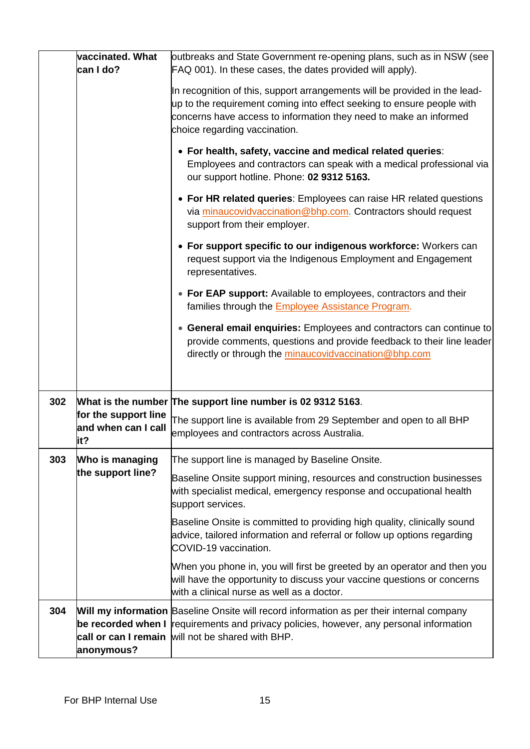|     | vaccinated. What<br>can I do?                       | outbreaks and State Government re-opening plans, such as in NSW (see<br>FAQ 001). In these cases, the dates provided will apply).                                                                                                                                                                                                                                                                                                            |
|-----|-----------------------------------------------------|----------------------------------------------------------------------------------------------------------------------------------------------------------------------------------------------------------------------------------------------------------------------------------------------------------------------------------------------------------------------------------------------------------------------------------------------|
|     |                                                     | In recognition of this, support arrangements will be provided in the lead-<br>up to the requirement coming into effect seeking to ensure people with<br>concerns have access to information they need to make an informed<br>choice regarding vaccination.<br>• For health, safety, vaccine and medical related queries:<br>Employees and contractors can speak with a medical professional via<br>our support hotline. Phone: 02 9312 5163. |
|     |                                                     | • For HR related queries: Employees can raise HR related questions<br>via minaucovidvaccination@bhp.com. Contractors should request<br>support from their employer.                                                                                                                                                                                                                                                                          |
|     |                                                     | • For support specific to our indigenous workforce: Workers can<br>request support via the Indigenous Employment and Engagement<br>representatives.                                                                                                                                                                                                                                                                                          |
|     |                                                     | • For EAP support: Available to employees, contractors and their<br>families through the <b>Employee Assistance Program</b> .                                                                                                                                                                                                                                                                                                                |
|     |                                                     | • General email enquiries: Employees and contractors can continue to<br>provide comments, questions and provide feedback to their line leader<br>directly or through the minaucovidvaccination@bhp.com                                                                                                                                                                                                                                       |
| 302 |                                                     | What is the number The support line number is 02 9312 5163.                                                                                                                                                                                                                                                                                                                                                                                  |
|     | for the support line<br>and when can I call<br>lit? | The support line is available from 29 September and open to all BHP<br>employees and contractors across Australia.                                                                                                                                                                                                                                                                                                                           |
| 303 | Who is managing                                     | The support line is managed by Baseline Onsite.                                                                                                                                                                                                                                                                                                                                                                                              |
|     | the support line?                                   | Baseline Onsite support mining, resources and construction businesses<br>with specialist medical, emergency response and occupational health<br>support services.                                                                                                                                                                                                                                                                            |
|     |                                                     | Baseline Onsite is committed to providing high quality, clinically sound<br>advice, tailored information and referral or follow up options regarding<br>COVID-19 vaccination.                                                                                                                                                                                                                                                                |
|     |                                                     | When you phone in, you will first be greeted by an operator and then you<br>will have the opportunity to discuss your vaccine questions or concerns<br>with a clinical nurse as well as a doctor.                                                                                                                                                                                                                                            |
| 304 | anonymous?                                          | Will my information Baseline Onsite will record information as per their internal company<br>be recorded when I requirements and privacy policies, however, any personal information<br>call or can I remain will not be shared with BHP.                                                                                                                                                                                                    |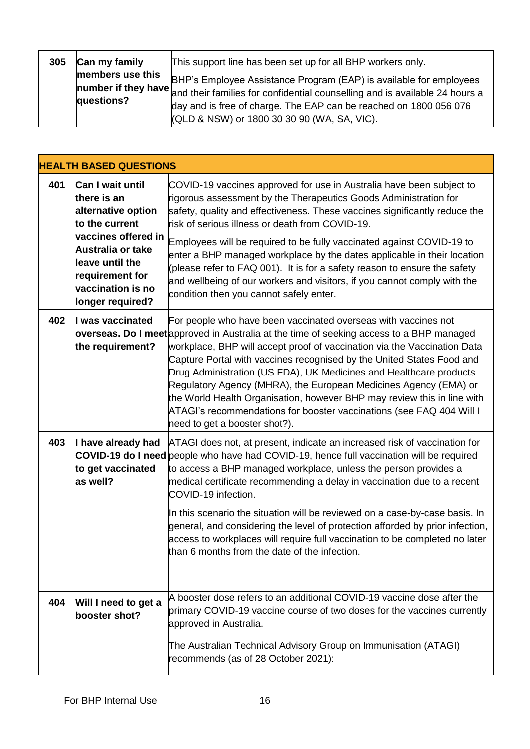| 305 | Can my family                  | This support line has been set up for all BHP workers only.                                                                                                                                                                                                                                                                                                                      |
|-----|--------------------------------|----------------------------------------------------------------------------------------------------------------------------------------------------------------------------------------------------------------------------------------------------------------------------------------------------------------------------------------------------------------------------------|
|     | members use this<br>questions? | BHP's Employee Assistance Program (EAP) is available for employees<br><b>number if they have</b> $\begin{bmatrix} 1 & 1 & 1 & 1 \\ 0 & 0 & 1 & 1 \\ 0 & 0 & 0 & 1 \end{bmatrix}$ and their families for confidential counselling and is available 24 hours a<br>day and is free of charge. The EAP can be reached on 1800 056 076<br>(QLD & NSW) or 1800 30 30 90 (WA, SA, VIC). |

|     | <b>HEALTH BASED QUESTIONS</b>                                                                                                                                                                      |                                                                                                                                                                                                                                                                                                                                                                                                                                                                                                                                                                                                                                                   |
|-----|----------------------------------------------------------------------------------------------------------------------------------------------------------------------------------------------------|---------------------------------------------------------------------------------------------------------------------------------------------------------------------------------------------------------------------------------------------------------------------------------------------------------------------------------------------------------------------------------------------------------------------------------------------------------------------------------------------------------------------------------------------------------------------------------------------------------------------------------------------------|
| 401 | Can I wait until<br>there is an<br>alternative option<br>to the current<br>vaccines offered in<br>Australia or take<br>leave until the<br>requirement for<br>vaccination is no<br>longer required? | COVID-19 vaccines approved for use in Australia have been subject to<br>rigorous assessment by the Therapeutics Goods Administration for<br>safety, quality and effectiveness. These vaccines significantly reduce the<br>risk of serious illness or death from COVID-19.<br>Employees will be required to be fully vaccinated against COVID-19 to<br>enter a BHP managed workplace by the dates applicable in their location<br>(please refer to FAQ 001). It is for a safety reason to ensure the safety<br>and wellbeing of our workers and visitors, if you cannot comply with the<br>condition then you cannot safely enter.                 |
| 402 | I was vaccinated<br>the requirement?                                                                                                                                                               | For people who have been vaccinated overseas with vaccines not<br>overseas. Do I meet approved in Australia at the time of seeking access to a BHP managed<br>workplace, BHP will accept proof of vaccination via the Vaccination Data<br>Capture Portal with vaccines recognised by the United States Food and<br>Drug Administration (US FDA), UK Medicines and Healthcare products<br>Regulatory Agency (MHRA), the European Medicines Agency (EMA) or<br>the World Health Organisation, however BHP may review this in line with<br>ATAGI's recommendations for booster vaccinations (see FAQ 404 Will I<br>need to get a booster shot?).     |
| 403 | I have already had<br>to get vaccinated<br>as well?                                                                                                                                                | ATAGI does not, at present, indicate an increased risk of vaccination for<br><b>COVID-19 do I need</b> people who have had COVID-19, hence full vaccination will be required<br>to access a BHP managed workplace, unless the person provides a<br>medical certificate recommending a delay in vaccination due to a recent<br>COVID-19 infection.<br>In this scenario the situation will be reviewed on a case-by-case basis. In<br>general, and considering the level of protection afforded by prior infection,<br>access to workplaces will require full vaccination to be completed no later<br>than 6 months from the date of the infection. |
| 404 | Will I need to get a<br>booster shot?                                                                                                                                                              | A booster dose refers to an additional COVID-19 vaccine dose after the<br>primary COVID-19 vaccine course of two doses for the vaccines currently<br>approved in Australia.<br>The Australian Technical Advisory Group on Immunisation (ATAGI)<br>recommends (as of 28 October 2021):                                                                                                                                                                                                                                                                                                                                                             |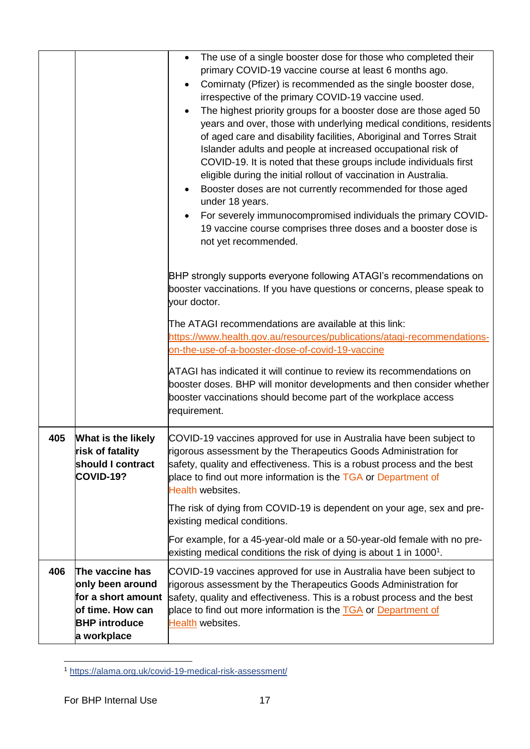|     |                                                                                                       | The use of a single booster dose for those who completed their<br>$\bullet$<br>primary COVID-19 vaccine course at least 6 months ago.                                                                                                                                                                                                                                                                                                 |
|-----|-------------------------------------------------------------------------------------------------------|---------------------------------------------------------------------------------------------------------------------------------------------------------------------------------------------------------------------------------------------------------------------------------------------------------------------------------------------------------------------------------------------------------------------------------------|
|     |                                                                                                       | Comirnaty (Pfizer) is recommended as the single booster dose,<br>$\bullet$                                                                                                                                                                                                                                                                                                                                                            |
|     |                                                                                                       | irrespective of the primary COVID-19 vaccine used.                                                                                                                                                                                                                                                                                                                                                                                    |
|     |                                                                                                       | The highest priority groups for a booster dose are those aged 50<br>$\bullet$                                                                                                                                                                                                                                                                                                                                                         |
|     |                                                                                                       | years and over, those with underlying medical conditions, residents<br>of aged care and disability facilities, Aboriginal and Torres Strait<br>Islander adults and people at increased occupational risk of<br>COVID-19. It is noted that these groups include individuals first<br>eligible during the initial rollout of vaccination in Australia.<br>Booster doses are not currently recommended for those aged<br>under 18 years. |
|     |                                                                                                       | For severely immunocompromised individuals the primary COVID-<br>19 vaccine course comprises three doses and a booster dose is<br>not yet recommended.                                                                                                                                                                                                                                                                                |
|     |                                                                                                       | BHP strongly supports everyone following ATAGI's recommendations on<br>booster vaccinations. If you have questions or concerns, please speak to<br>your doctor.                                                                                                                                                                                                                                                                       |
|     |                                                                                                       |                                                                                                                                                                                                                                                                                                                                                                                                                                       |
|     |                                                                                                       | The ATAGI recommendations are available at this link:<br>https://www.health.gov.au/resources/publications/atagi-recommendations-                                                                                                                                                                                                                                                                                                      |
|     |                                                                                                       | on-the-use-of-a-booster-dose-of-covid-19-vaccine                                                                                                                                                                                                                                                                                                                                                                                      |
|     |                                                                                                       | ATAGI has indicated it will continue to review its recommendations on<br>booster doses. BHP will monitor developments and then consider whether<br>booster vaccinations should become part of the workplace access<br>requirement.                                                                                                                                                                                                    |
| 405 | <b>What is the likely</b><br>risk of fatality<br>should I contract<br><b>COVID-19?</b>                | COVID-19 vaccines approved for use in Australia have been subject to<br>rigorous assessment by the Therapeutics Goods Administration for<br>safety, quality and effectiveness. This is a robust process and the best<br>place to find out more information is the TGA or Department of<br>Health websites.                                                                                                                            |
|     |                                                                                                       | The risk of dying from COVID-19 is dependent on your age, sex and pre-<br>existing medical conditions.                                                                                                                                                                                                                                                                                                                                |
|     |                                                                                                       | For example, for a 45-year-old male or a 50-year-old female with no pre-<br>existing medical conditions the risk of dying is about 1 in $10001$ .                                                                                                                                                                                                                                                                                     |
| 406 | The vaccine has<br>only been around<br>for a short amount<br>of time. How can<br><b>BHP</b> introduce | COVID-19 vaccines approved for use in Australia have been subject to<br>rigorous assessment by the Therapeutics Goods Administration for<br>safety, quality and effectiveness. This is a robust process and the best<br>place to find out more information is the TGA or Department of<br>Health websites.                                                                                                                            |
|     | a workplace                                                                                           |                                                                                                                                                                                                                                                                                                                                                                                                                                       |

<sup>-</sup><sup>1</sup> <https://alama.org.uk/covid-19-medical-risk-assessment/>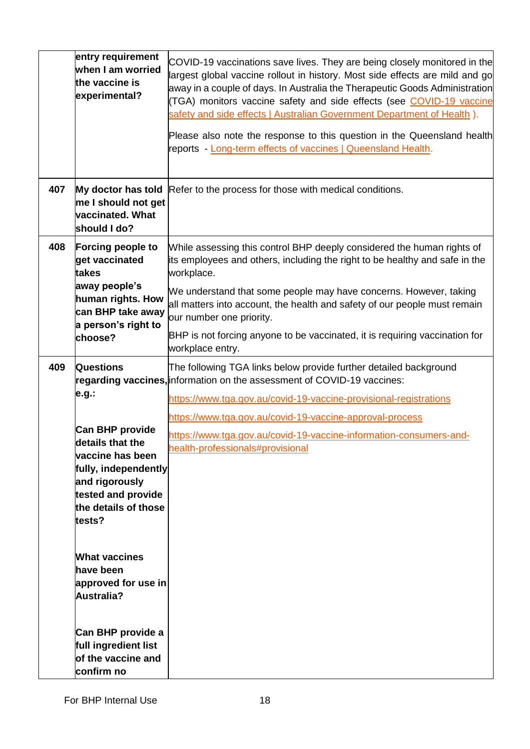|     | entry requirement<br>when I am worried<br>the vaccine is<br>experimental?                                                                                 | COVID-19 vaccinations save lives. They are being closely monitored in the<br>largest global vaccine rollout in history. Most side effects are mild and go<br>away in a couple of days. In Australia the Therapeutic Goods Administration<br>(TGA) monitors vaccine safety and side effects (see COVID-19 vaccine<br>safety and side effects   Australian Government Department of Health ).<br>Please also note the response to this question in the Queensland health<br>reports - Long-term effects of vaccines   Queensland Health. |
|-----|-----------------------------------------------------------------------------------------------------------------------------------------------------------|----------------------------------------------------------------------------------------------------------------------------------------------------------------------------------------------------------------------------------------------------------------------------------------------------------------------------------------------------------------------------------------------------------------------------------------------------------------------------------------------------------------------------------------|
| 407 | me I should not get<br>vaccinated. What<br>should I do?                                                                                                   | My doctor has told Refer to the process for those with medical conditions.                                                                                                                                                                                                                                                                                                                                                                                                                                                             |
| 408 | <b>Forcing people to</b><br>get vaccinated<br>takes                                                                                                       | While assessing this control BHP deeply considered the human rights of<br>its employees and others, including the right to be healthy and safe in the<br>workplace.                                                                                                                                                                                                                                                                                                                                                                    |
|     | away people's<br>human rights. How<br>can BHP take away<br>a person's right to                                                                            | We understand that some people may have concerns. However, taking<br>all matters into account, the health and safety of our people must remain<br>our number one priority.                                                                                                                                                                                                                                                                                                                                                             |
|     | choose?                                                                                                                                                   | BHP is not forcing anyone to be vaccinated, it is requiring vaccination for<br>workplace entry.                                                                                                                                                                                                                                                                                                                                                                                                                                        |
| 409 | <b>Questions</b>                                                                                                                                          | The following TGA links below provide further detailed background<br>regarding vaccines, information on the assessment of COVID-19 vaccines:                                                                                                                                                                                                                                                                                                                                                                                           |
|     | e.g.:                                                                                                                                                     | https://www.tga.gov.au/covid-19-vaccine-provisional-registrations                                                                                                                                                                                                                                                                                                                                                                                                                                                                      |
|     | Can BHP provide<br>details that the<br>vaccine has been<br>fully, independently<br>and rigorously<br>tested and provide<br>the details of those<br>tests? | https://www.tga.gov.au/covid-19-vaccine-approval-process<br>https://www.tga.gov.au/covid-19-vaccine-information-consumers-and-<br>health-professionals#provisional                                                                                                                                                                                                                                                                                                                                                                     |
|     | <b>What vaccines</b><br>have been<br>approved for use in<br>Australia?                                                                                    |                                                                                                                                                                                                                                                                                                                                                                                                                                                                                                                                        |
|     | Can BHP provide a<br>full ingredient list<br>of the vaccine and<br>confirm no                                                                             |                                                                                                                                                                                                                                                                                                                                                                                                                                                                                                                                        |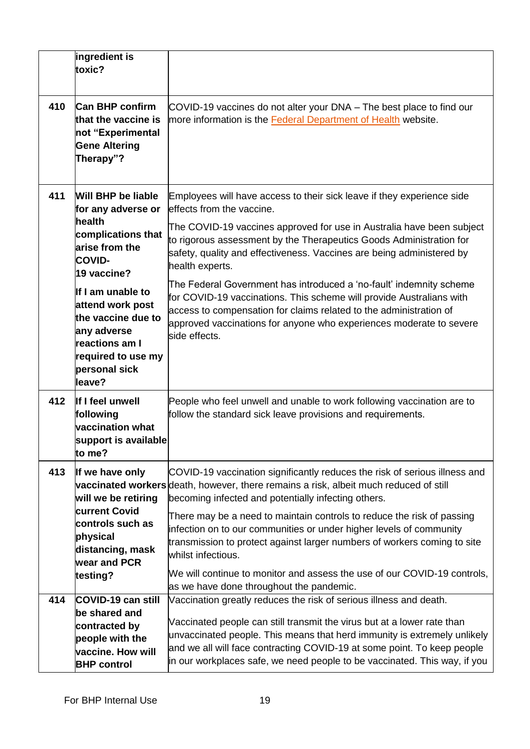|     | ingredient is<br>toxic?                                                                                                                                                    |                                                                                                                                                                                                                                                                                                                                                                                                                                                                                                                                                                                                       |
|-----|----------------------------------------------------------------------------------------------------------------------------------------------------------------------------|-------------------------------------------------------------------------------------------------------------------------------------------------------------------------------------------------------------------------------------------------------------------------------------------------------------------------------------------------------------------------------------------------------------------------------------------------------------------------------------------------------------------------------------------------------------------------------------------------------|
| 410 | <b>Can BHP confirm</b><br>that the vaccine is<br>not "Experimental<br><b>Gene Altering</b><br>Therapy"?                                                                    | COVID-19 vaccines do not alter your DNA – The best place to find our<br>more information is the <b>Federal Department of Health</b> website.                                                                                                                                                                                                                                                                                                                                                                                                                                                          |
| 411 | <b>Will BHP be liable</b><br>for any adverse or<br>health<br>complications that<br>arise from the                                                                          | Employees will have access to their sick leave if they experience side<br>effects from the vaccine.<br>The COVID-19 vaccines approved for use in Australia have been subject<br>to rigorous assessment by the Therapeutics Goods Administration for<br>safety, quality and effectiveness. Vaccines are being administered by                                                                                                                                                                                                                                                                          |
|     | <b>COVID-</b><br>19 vaccine?<br>If I am unable to<br>attend work post<br>the vaccine due to<br>any adverse<br><b>reactions am I</b><br>required to use my<br>personal sick | health experts.<br>The Federal Government has introduced a 'no-fault' indemnity scheme<br>for COVID-19 vaccinations. This scheme will provide Australians with<br>access to compensation for claims related to the administration of<br>approved vaccinations for anyone who experiences moderate to severe<br>side effects.                                                                                                                                                                                                                                                                          |
| 412 | leave?<br>If I feel unwell<br>following<br>vaccination what<br>support is available<br>to me?                                                                              | People who feel unwell and unable to work following vaccination are to<br>follow the standard sick leave provisions and requirements.                                                                                                                                                                                                                                                                                                                                                                                                                                                                 |
| 413 | If we have only<br>will we be retiring<br><b>current Covid</b><br>controls such as<br>physical<br>distancing, mask<br>wear and PCR<br>testing?                             | COVID-19 vaccination significantly reduces the risk of serious illness and<br>vaccinated workers death, however, there remains a risk, albeit much reduced of still<br>becoming infected and potentially infecting others.<br>There may be a need to maintain controls to reduce the risk of passing<br>infection on to our communities or under higher levels of community<br>transmission to protect against larger numbers of workers coming to site<br>whilst infectious.<br>We will continue to monitor and assess the use of our COVID-19 controls,<br>as we have done throughout the pandemic. |
| 414 | COVID-19 can still<br>be shared and<br>contracted by<br>people with the<br>vaccine. How will<br><b>BHP</b> control                                                         | Vaccination greatly reduces the risk of serious illness and death.<br>Vaccinated people can still transmit the virus but at a lower rate than<br>unvaccinated people. This means that herd immunity is extremely unlikely<br>and we all will face contracting COVID-19 at some point. To keep people<br>in our workplaces safe, we need people to be vaccinated. This way, if you                                                                                                                                                                                                                     |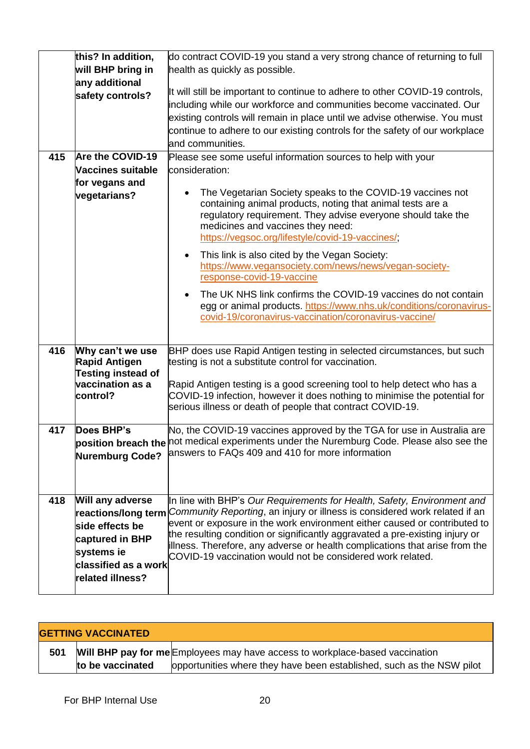|     | this? In addition,        | do contract COVID-19 you stand a very strong chance of returning to full                                                                                |
|-----|---------------------------|---------------------------------------------------------------------------------------------------------------------------------------------------------|
|     | will BHP bring in         | health as quickly as possible.                                                                                                                          |
|     | any additional            | It will still be important to continue to adhere to other COVID-19 controls,                                                                            |
|     | safety controls?          | including while our workforce and communities become vaccinated. Our                                                                                    |
|     |                           | existing controls will remain in place until we advise otherwise. You must                                                                              |
|     |                           | continue to adhere to our existing controls for the safety of our workplace                                                                             |
|     |                           |                                                                                                                                                         |
|     |                           | and communities.                                                                                                                                        |
| 415 | Are the COVID-19          | Please see some useful information sources to help with your                                                                                            |
|     | Vaccines suitable         | consideration:                                                                                                                                          |
|     | for vegans and            |                                                                                                                                                         |
|     | vegetarians?              | The Vegetarian Society speaks to the COVID-19 vaccines not<br>٠                                                                                         |
|     |                           | containing animal products, noting that animal tests are a<br>regulatory requirement. They advise everyone should take the                              |
|     |                           | medicines and vaccines they need:                                                                                                                       |
|     |                           | https://vegsoc.org/lifestyle/covid-19-vaccines/;                                                                                                        |
|     |                           |                                                                                                                                                         |
|     |                           | This link is also cited by the Vegan Society:<br>$\bullet$                                                                                              |
|     |                           | https://www.vegansociety.com/news/news/vegan-society-                                                                                                   |
|     |                           | response-covid-19-vaccine                                                                                                                               |
|     |                           | The UK NHS link confirms the COVID-19 vaccines do not contain<br>$\bullet$                                                                              |
|     |                           | egg or animal products. https://www.nhs.uk/conditions/coronavirus-                                                                                      |
|     |                           | covid-19/coronavirus-vaccination/coronavirus-vaccine/                                                                                                   |
|     |                           |                                                                                                                                                         |
| 416 | Why can't we use          | BHP does use Rapid Antigen testing in selected circumstances, but such                                                                                  |
|     | <b>Rapid Antigen</b>      | testing is not a substitute control for vaccination.                                                                                                    |
|     | <b>Testing instead of</b> |                                                                                                                                                         |
|     | vaccination as a          | Rapid Antigen testing is a good screening tool to help detect who has a                                                                                 |
|     | control?                  | COVID-19 infection, however it does nothing to minimise the potential for                                                                               |
|     |                           | serious illness or death of people that contract COVID-19.                                                                                              |
|     |                           |                                                                                                                                                         |
| 417 | Does BHP's                | No, the COVID-19 vaccines approved by the TGA for use in Australia are                                                                                  |
|     |                           | position breach the not medical experiments under the Nuremburg Code. Please also see the                                                               |
|     | <b>Nuremburg Code?</b>    | answers to FAQs 409 and 410 for more information                                                                                                        |
|     |                           |                                                                                                                                                         |
|     |                           |                                                                                                                                                         |
|     |                           |                                                                                                                                                         |
| 418 | Will any adverse          | In line with BHP's Our Requirements for Health, Safety, Environment and                                                                                 |
|     | reactions/long term       | Community Reporting, an injury or illness is considered work related if an<br>event or exposure in the work environment either caused or contributed to |
|     | side effects be           | the resulting condition or significantly aggravated a pre-existing injury or                                                                            |
|     | captured in BHP           | illness. Therefore, any adverse or health complications that arise from the                                                                             |
|     | systems ie                | COVID-19 vaccination would not be considered work related.                                                                                              |
|     | classified as a work      |                                                                                                                                                         |
|     | related illness?          |                                                                                                                                                         |
|     |                           |                                                                                                                                                         |

| <b>GETTING VACCINATED</b> |                  |                                                                              |
|---------------------------|------------------|------------------------------------------------------------------------------|
| 501                       |                  | Will BHP pay for me Employees may have access to workplace-based vaccination |
|                           | to be vaccinated | opportunities where they have been established, such as the NSW pilot        |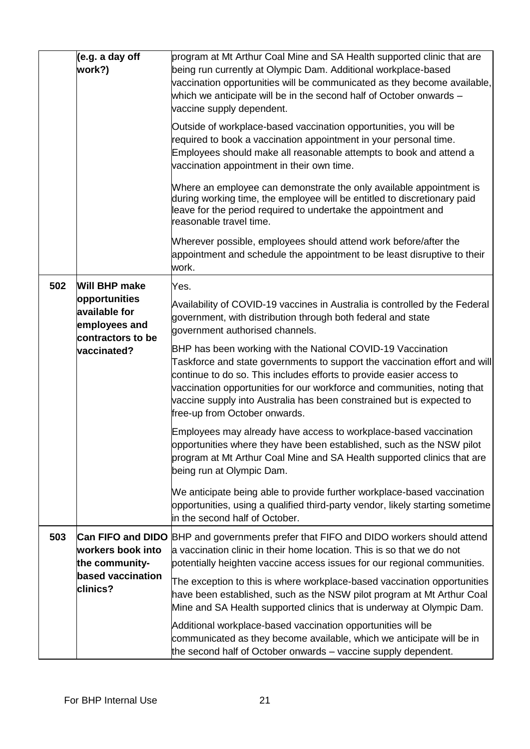|     | (e.g. a day off<br>work?)                                                           | program at Mt Arthur Coal Mine and SA Health supported clinic that are<br>being run currently at Olympic Dam. Additional workplace-based<br>vaccination opportunities will be communicated as they become available,<br>which we anticipate will be in the second half of October onwards -<br>vaccine supply dependent.                                                                                |
|-----|-------------------------------------------------------------------------------------|---------------------------------------------------------------------------------------------------------------------------------------------------------------------------------------------------------------------------------------------------------------------------------------------------------------------------------------------------------------------------------------------------------|
|     |                                                                                     | Outside of workplace-based vaccination opportunities, you will be<br>required to book a vaccination appointment in your personal time.<br>Employees should make all reasonable attempts to book and attend a<br>vaccination appointment in their own time.                                                                                                                                              |
|     |                                                                                     | Where an employee can demonstrate the only available appointment is<br>during working time, the employee will be entitled to discretionary paid<br>leave for the period required to undertake the appointment and<br>reasonable travel time.                                                                                                                                                            |
|     |                                                                                     | Wherever possible, employees should attend work before/after the<br>appointment and schedule the appointment to be least disruptive to their<br>work.                                                                                                                                                                                                                                                   |
| 502 | <b>Will BHP make</b>                                                                | Yes.                                                                                                                                                                                                                                                                                                                                                                                                    |
|     | opportunities<br>available for<br>employees and<br>contractors to be<br>vaccinated? | Availability of COVID-19 vaccines in Australia is controlled by the Federal<br>government, with distribution through both federal and state<br>government authorised channels.                                                                                                                                                                                                                          |
|     |                                                                                     | BHP has been working with the National COVID-19 Vaccination<br>Taskforce and state governments to support the vaccination effort and will<br>continue to do so. This includes efforts to provide easier access to<br>vaccination opportunities for our workforce and communities, noting that<br>vaccine supply into Australia has been constrained but is expected to<br>free-up from October onwards. |
|     |                                                                                     | Employees may already have access to workplace-based vaccination<br>opportunities where they have been established, such as the NSW pilot<br>program at Mt Arthur Coal Mine and SA Health supported clinics that are<br>being run at Olympic Dam.                                                                                                                                                       |
|     |                                                                                     | We anticipate being able to provide further workplace-based vaccination<br>opportunities, using a qualified third-party vendor, likely starting sometime<br>in the second half of October.                                                                                                                                                                                                              |
| 503 | workers book into<br>the community-<br>based vaccination<br>clinics?                | <b>Can FIFO and DIDO</b> BHP and governments prefer that FIFO and DIDO workers should attend<br>a vaccination clinic in their home location. This is so that we do not<br>potentially heighten vaccine access issues for our regional communities.                                                                                                                                                      |
|     |                                                                                     | The exception to this is where workplace-based vaccination opportunities<br>have been established, such as the NSW pilot program at Mt Arthur Coal<br>Mine and SA Health supported clinics that is underway at Olympic Dam.                                                                                                                                                                             |
|     |                                                                                     | Additional workplace-based vaccination opportunities will be<br>communicated as they become available, which we anticipate will be in<br>the second half of October onwards – vaccine supply dependent.                                                                                                                                                                                                 |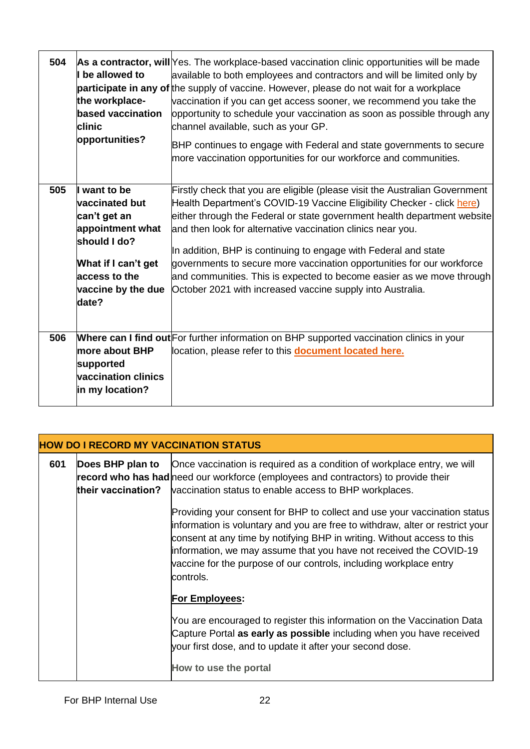| 504 | I be allowed to<br>the workplace-<br>based vaccination<br>clinic<br>opportunities?                                                                             | As a contractor, will Yes. The workplace-based vaccination clinic opportunities will be made<br>available to both employees and contractors and will be limited only by<br>participate in any of the supply of vaccine. However, please do not wait for a workplace<br>vaccination if you can get access sooner, we recommend you take the<br>opportunity to schedule your vaccination as soon as possible through any<br>channel available, such as your GP.<br>BHP continues to engage with Federal and state governments to secure<br>more vaccination opportunities for our workforce and communities. |
|-----|----------------------------------------------------------------------------------------------------------------------------------------------------------------|------------------------------------------------------------------------------------------------------------------------------------------------------------------------------------------------------------------------------------------------------------------------------------------------------------------------------------------------------------------------------------------------------------------------------------------------------------------------------------------------------------------------------------------------------------------------------------------------------------|
| 505 | want to be<br><b>vaccinated but</b><br>can't get an<br>appointment what<br>should I do?<br>What if I can't get<br>access to the<br>vaccine by the due<br>date? | Firstly check that you are eligible (please visit the Australian Government<br>Health Department's COVID-19 Vaccine Eligibility Checker - click here)<br>either through the Federal or state government health department website<br>and then look for alternative vaccination clinics near you.<br>In addition, BHP is continuing to engage with Federal and state<br>governments to secure more vaccination opportunities for our workforce<br>and communities. This is expected to become easier as we move through<br>October 2021 with increased vaccine supply into Australia.                       |
| 506 | lmore about BHP<br>supported<br>vaccination clinics<br>in my location?                                                                                         | Where can I find out For further information on BHP supported vaccination clinics in your<br>location, please refer to this <b>document located here.</b>                                                                                                                                                                                                                                                                                                                                                                                                                                                  |

| <b>HOW DO I RECORD MY VACCINATION STATUS</b> |                  |                                                                                                                                                                                                                                                                                                                                                                                                 |
|----------------------------------------------|------------------|-------------------------------------------------------------------------------------------------------------------------------------------------------------------------------------------------------------------------------------------------------------------------------------------------------------------------------------------------------------------------------------------------|
| 601                                          | Does BHP plan to | Once vaccination is required as a condition of workplace entry, we will<br>record who has had need our workforce (employees and contractors) to provide their<br>their vaccination? vaccination status to enable access to BHP workplaces.                                                                                                                                                      |
|                                              |                  | Providing your consent for BHP to collect and use your vaccination status<br>information is voluntary and you are free to withdraw, alter or restrict your<br>consent at any time by notifying BHP in writing. Without access to this<br>information, we may assume that you have not received the COVID-19<br>vaccine for the purpose of our controls, including workplace entry<br>lcontrols. |
|                                              |                  | For Employees:                                                                                                                                                                                                                                                                                                                                                                                  |
|                                              |                  | You are encouraged to register this information on the Vaccination Data<br>Capture Portal as early as possible including when you have received<br>your first dose, and to update it after your second dose.                                                                                                                                                                                    |
|                                              |                  | How to use the portal                                                                                                                                                                                                                                                                                                                                                                           |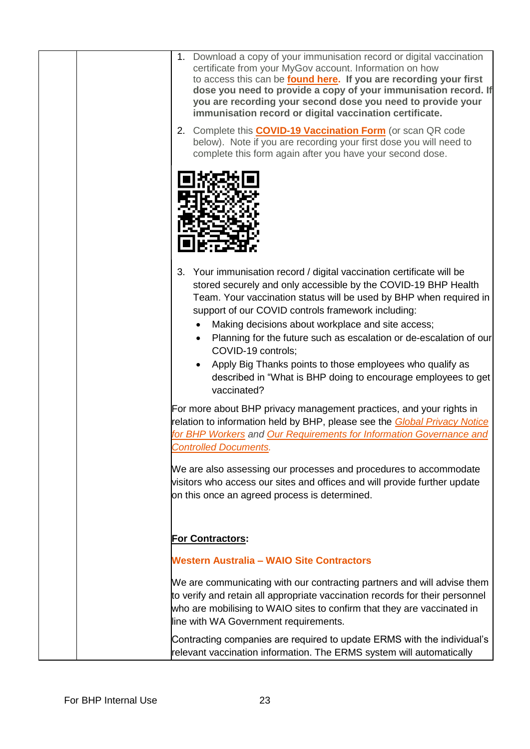| 1. Download a copy of your immunisation record or digital vaccination<br>certificate from your MyGov account. Information on how<br>to access this can be found here. If you are recording your first<br>dose you need to provide a copy of your immunisation record. If<br>you are recording your second dose you need to provide your<br>immunisation record or digital vaccination certificate.                                                                                                                                                                |
|-------------------------------------------------------------------------------------------------------------------------------------------------------------------------------------------------------------------------------------------------------------------------------------------------------------------------------------------------------------------------------------------------------------------------------------------------------------------------------------------------------------------------------------------------------------------|
| 2. Complete this <b>COVID-19 Vaccination Form</b> (or scan QR code<br>below). Note if you are recording your first dose you will need to<br>complete this form again after you have your second dose.                                                                                                                                                                                                                                                                                                                                                             |
|                                                                                                                                                                                                                                                                                                                                                                                                                                                                                                                                                                   |
| 3. Your immunisation record / digital vaccination certificate will be<br>stored securely and only accessible by the COVID-19 BHP Health<br>Team. Your vaccination status will be used by BHP when required in<br>support of our COVID controls framework including:<br>Making decisions about workplace and site access;<br>Planning for the future such as escalation or de-escalation of our<br>COVID-19 controls;<br>Apply Big Thanks points to those employees who qualify as<br>described in "What is BHP doing to encourage employees to get<br>vaccinated? |
| For more about BHP privacy management practices, and your rights in<br>relation to information held by BHP, please see the Global Privacy Notice<br>for BHP Workers and Our Requirements for Information Governance and<br><b>Controlled Documents.</b>                                                                                                                                                                                                                                                                                                           |
| We are also assessing our processes and procedures to accommodate<br>visitors who access our sites and offices and will provide further update<br>on this once an agreed process is determined.                                                                                                                                                                                                                                                                                                                                                                   |
| <b>For Contractors:</b>                                                                                                                                                                                                                                                                                                                                                                                                                                                                                                                                           |
| <b>Western Australia - WAIO Site Contractors</b>                                                                                                                                                                                                                                                                                                                                                                                                                                                                                                                  |
| We are communicating with our contracting partners and will advise them<br>to verify and retain all appropriate vaccination records for their personnel<br>who are mobilising to WAIO sites to confirm that they are vaccinated in<br>line with WA Government requirements.                                                                                                                                                                                                                                                                                       |
| Contracting companies are required to update ERMS with the individual's<br>relevant vaccination information. The ERMS system will automatically                                                                                                                                                                                                                                                                                                                                                                                                                   |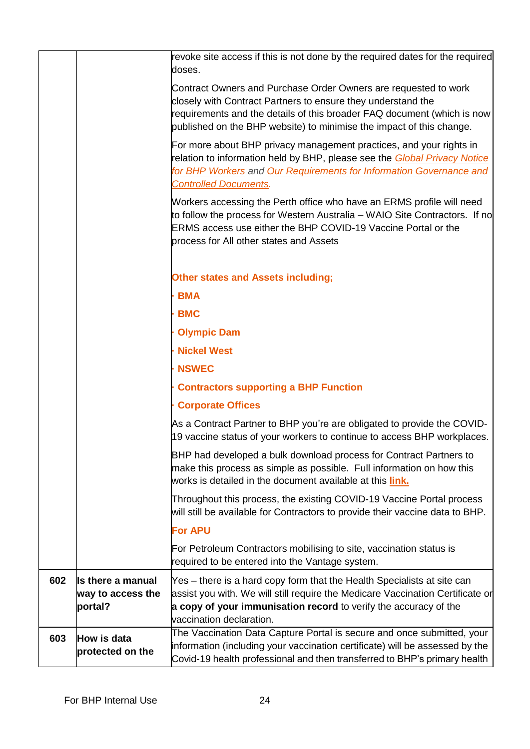|     |                                                   | revoke site access if this is not done by the required dates for the required<br>doses.                                                                                                                                                                                            |
|-----|---------------------------------------------------|------------------------------------------------------------------------------------------------------------------------------------------------------------------------------------------------------------------------------------------------------------------------------------|
|     |                                                   | Contract Owners and Purchase Order Owners are requested to work<br>closely with Contract Partners to ensure they understand the<br>requirements and the details of this broader FAQ document (which is now<br>published on the BHP website) to minimise the impact of this change. |
|     |                                                   | For more about BHP privacy management practices, and your rights in<br>relation to information held by BHP, please see the <b>Global Privacy Notice</b><br>for BHP Workers and Our Requirements for Information Governance and<br><b>Controlled Documents.</b>                     |
|     |                                                   | Workers accessing the Perth office who have an ERMS profile will need<br>to follow the process for Western Australia – WAIO Site Contractors. If no<br>ERMS access use either the BHP COVID-19 Vaccine Portal or the<br>process for All other states and Assets                    |
|     |                                                   | <b>Other states and Assets including;</b>                                                                                                                                                                                                                                          |
|     |                                                   | <b>BMA</b>                                                                                                                                                                                                                                                                         |
|     |                                                   | <b>BMC</b>                                                                                                                                                                                                                                                                         |
|     |                                                   | <b>Olympic Dam</b>                                                                                                                                                                                                                                                                 |
|     |                                                   | <b>Nickel West</b>                                                                                                                                                                                                                                                                 |
|     |                                                   | <b>NSWEC</b>                                                                                                                                                                                                                                                                       |
|     |                                                   | <b>Contractors supporting a BHP Function</b>                                                                                                                                                                                                                                       |
|     |                                                   | <b>Corporate Offices</b>                                                                                                                                                                                                                                                           |
|     |                                                   | As a Contract Partner to BHP you're are obligated to provide the COVID-<br>19 vaccine status of your workers to continue to access BHP workplaces.                                                                                                                                 |
|     |                                                   | BHP had developed a bulk download process for Contract Partners to<br>make this process as simple as possible. Full information on how this<br>works is detailed in the document available at this <i>link</i> .                                                                   |
|     |                                                   | Throughout this process, the existing COVID-19 Vaccine Portal process<br>will still be available for Contractors to provide their vaccine data to BHP.                                                                                                                             |
|     |                                                   | <b>For APU</b>                                                                                                                                                                                                                                                                     |
|     |                                                   | For Petroleum Contractors mobilising to site, vaccination status is<br>required to be entered into the Vantage system.                                                                                                                                                             |
| 602 | Is there a manual<br>way to access the<br>portal? | Yes – there is a hard copy form that the Health Specialists at site can<br>assist you with. We will still require the Medicare Vaccination Certificate or<br>a copy of your immunisation record to verify the accuracy of the<br>vaccination declaration.                          |
| 603 | How is data<br>protected on the                   | The Vaccination Data Capture Portal is secure and once submitted, your<br>information (including your vaccination certificate) will be assessed by the<br>Covid-19 health professional and then transferred to BHP's primary health                                                |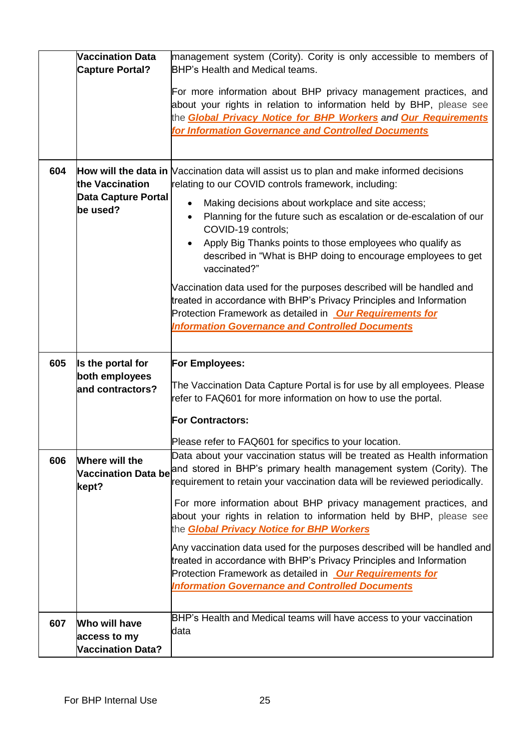|     | <b>Vaccination Data</b><br><b>Capture Portal?</b>         | management system (Cority). Cority is only accessible to members of<br><b>BHP's Health and Medical teams.</b>                                                                                                                                                                                                                                                                                                                                                                                                                                                                                                                                                                                                                                                   |
|-----|-----------------------------------------------------------|-----------------------------------------------------------------------------------------------------------------------------------------------------------------------------------------------------------------------------------------------------------------------------------------------------------------------------------------------------------------------------------------------------------------------------------------------------------------------------------------------------------------------------------------------------------------------------------------------------------------------------------------------------------------------------------------------------------------------------------------------------------------|
|     |                                                           | For more information about BHP privacy management practices, and<br>about your rights in relation to information held by BHP, please see<br>the <b>Global Privacy Notice for BHP Workers and Our Requirements</b><br>for Information Governance and Controlled Documents                                                                                                                                                                                                                                                                                                                                                                                                                                                                                        |
| 604 | the Vaccination<br><b>Data Capture Portal</b><br>be used? | How will the data in Vaccination data will assist us to plan and make informed decisions<br>relating to our COVID controls framework, including:<br>Making decisions about workplace and site access;<br>Planning for the future such as escalation or de-escalation of our<br>COVID-19 controls;<br>Apply Big Thanks points to those employees who qualify as<br>described in "What is BHP doing to encourage employees to get<br>vaccinated?"<br>Vaccination data used for the purposes described will be handled and<br>treated in accordance with BHP's Privacy Principles and Information<br>Protection Framework as detailed in <b>Our Requirements for</b><br><b>Information Governance and Controlled Documents</b>                                     |
| 605 | Is the portal for<br>both employees<br>and contractors?   | <b>For Employees:</b><br>The Vaccination Data Capture Portal is for use by all employees. Please<br>refer to FAQ601 for more information on how to use the portal.<br><b>For Contractors:</b>                                                                                                                                                                                                                                                                                                                                                                                                                                                                                                                                                                   |
| 606 | Where will the<br><b>Vaccination Data be</b><br>kept?     | Please refer to FAQ601 for specifics to your location.<br>Data about your vaccination status will be treated as Health information<br>and stored in BHP's primary health management system (Cority). The<br>requirement to retain your vaccination data will be reviewed periodically.<br>For more information about BHP privacy management practices, and<br>about your rights in relation to information held by BHP, please see<br>the <b>Global Privacy Notice for BHP Workers</b><br>Any vaccination data used for the purposes described will be handled and<br>treated in accordance with BHP's Privacy Principles and Information<br>Protection Framework as detailed in Our Requirements for<br><b>Information Governance and Controlled Documents</b> |
| 607 | Who will have                                             | BHP's Health and Medical teams will have access to your vaccination<br>ldata                                                                                                                                                                                                                                                                                                                                                                                                                                                                                                                                                                                                                                                                                    |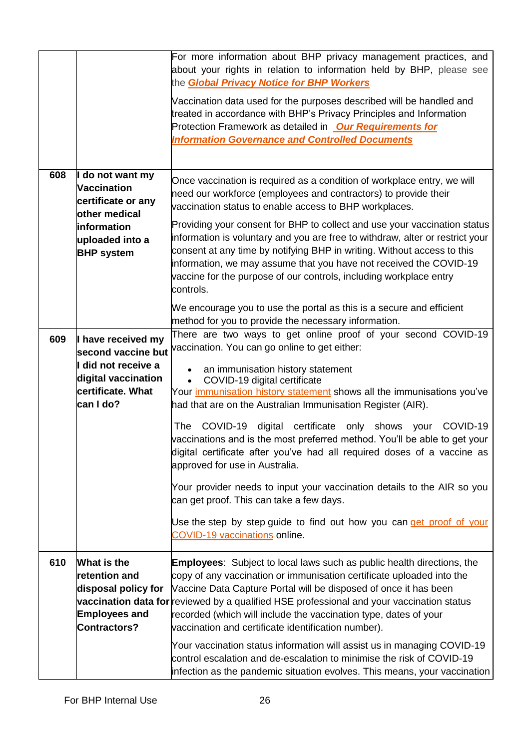|     |                                                                                                                               | For more information about BHP privacy management practices, and<br>about your rights in relation to information held by BHP, please see<br>the <b>Global Privacy Notice for BHP Workers</b><br>Vaccination data used for the purposes described will be handled and<br>treated in accordance with BHP's Privacy Principles and Information<br>Protection Framework as detailed in <b>Our Requirements for</b><br><b>Information Governance and Controlled Documents</b>                                                                                                                               |
|-----|-------------------------------------------------------------------------------------------------------------------------------|--------------------------------------------------------------------------------------------------------------------------------------------------------------------------------------------------------------------------------------------------------------------------------------------------------------------------------------------------------------------------------------------------------------------------------------------------------------------------------------------------------------------------------------------------------------------------------------------------------|
| 608 | I do not want my<br>Vaccination<br>certificate or any<br>other medical<br>information<br>uploaded into a<br><b>BHP</b> system | Once vaccination is required as a condition of workplace entry, we will<br>need our workforce (employees and contractors) to provide their<br>vaccination status to enable access to BHP workplaces.<br>Providing your consent for BHP to collect and use your vaccination status<br>information is voluntary and you are free to withdraw, alter or restrict your<br>consent at any time by notifying BHP in writing. Without access to this<br>information, we may assume that you have not received the COVID-19<br>vaccine for the purpose of our controls, including workplace entry<br>controls. |
| 609 | I have received my<br>second vaccine but<br>I did not receive a<br>digital vaccination<br>certificate. What<br>can I do?      | We encourage you to use the portal as this is a secure and efficient<br>method for you to provide the necessary information.<br>There are two ways to get online proof of your second COVID-19<br>vaccination. You can go online to get either:<br>an immunisation history statement<br>COVID-19 digital certificate<br>Your <i>immunisation history statement</i> shows all the immunisations you've<br>had that are on the Australian Immunisation Register (AIR).                                                                                                                                   |
|     |                                                                                                                               | COVID-19<br>certificate<br>only shows<br>COVID-19<br>The<br>digital<br>your<br>vaccinations and is the most preferred method. You'll be able to get your<br>digital certificate after you've had all required doses of a vaccine as<br>approved for use in Australia.<br>Your provider needs to input your vaccination details to the AIR so you<br>can get proof. This can take a few days.<br>Use the step by step guide to find out how you can get proof of your                                                                                                                                   |
|     |                                                                                                                               | COVID-19 vaccinations online.                                                                                                                                                                                                                                                                                                                                                                                                                                                                                                                                                                          |
| 610 | What is the<br>retention and<br>disposal policy for<br><b>Employees and</b><br>Contractors?                                   | <b>Employees:</b> Subject to local laws such as public health directions, the<br>copy of any vaccination or immunisation certificate uploaded into the<br>Vaccine Data Capture Portal will be disposed of once it has been<br>vaccination data for reviewed by a qualified HSE professional and your vaccination status<br>recorded (which will include the vaccination type, dates of your<br>vaccination and certificate identification number).                                                                                                                                                     |
|     |                                                                                                                               | Your vaccination status information will assist us in managing COVID-19<br>control escalation and de-escalation to minimise the risk of COVID-19<br>infection as the pandemic situation evolves. This means, your vaccination                                                                                                                                                                                                                                                                                                                                                                          |